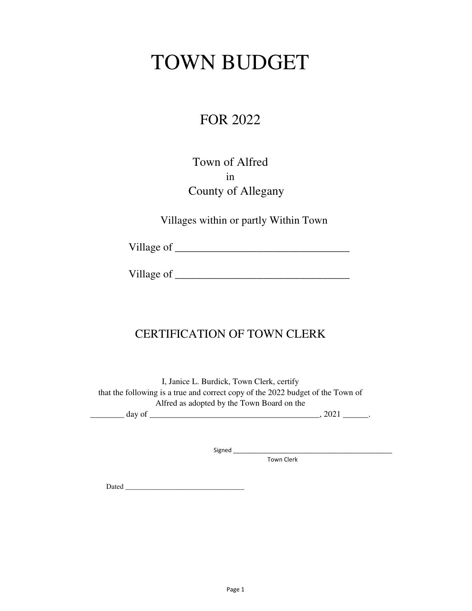# TOWN BUDGET

## FOR 2022

### Town of Alfred in County of Allegany

Villages within or partly Within Town

Village of \_\_\_\_\_\_\_\_\_\_\_\_\_\_\_\_\_\_\_\_\_\_\_\_\_\_\_\_\_\_\_\_

Village of \_\_\_\_\_\_\_\_\_\_\_\_\_\_\_\_\_\_\_\_\_\_\_\_\_\_\_\_\_\_\_\_

### CERTIFICATION OF TOWN CLERK

I, Janice L. Burdick, Town Clerk, certify that the following is a true and correct copy of the 2022 budget of the Town of Alfred as adopted by the Town Board on the

\_\_\_\_\_\_\_\_ day of \_\_\_\_\_\_\_\_\_\_\_\_\_\_\_\_\_\_\_\_\_\_\_\_\_\_\_\_\_\_\_\_\_\_\_\_\_\_\_\_, 2021 \_\_\_\_\_\_.

Signed \_\_\_\_\_\_\_\_\_\_\_\_\_\_\_\_\_\_\_\_\_\_\_\_\_\_\_\_\_\_\_\_\_\_\_\_\_\_\_\_\_\_\_\_\_\_\_\_

Town Clerk

Dated  $\Box$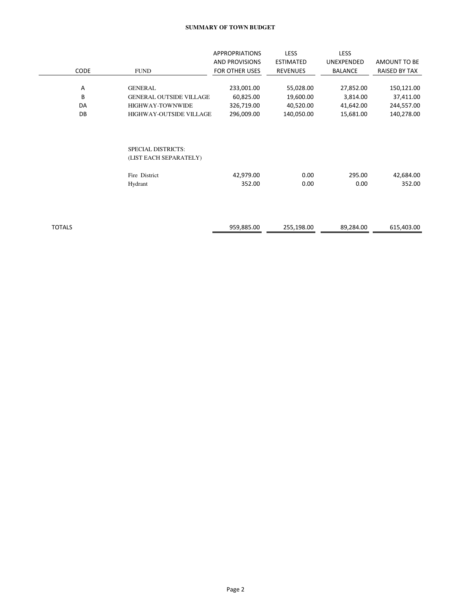#### **SUMMARY OF TOWN BUDGET**

|               |      |                                                     | <b>APPROPRIATIONS</b> | <b>LESS</b>      | <b>LESS</b>    |               |
|---------------|------|-----------------------------------------------------|-----------------------|------------------|----------------|---------------|
|               |      |                                                     | AND PROVISIONS        | <b>ESTIMATED</b> | UNEXPENDED     | AMOUNT TO BE  |
|               | CODE | <b>FUND</b>                                         | <b>FOR OTHER USES</b> | <b>REVENUES</b>  | <b>BALANCE</b> | RAISED BY TAX |
|               |      |                                                     |                       |                  |                |               |
|               | Α    | <b>GENERAL</b>                                      | 233,001.00            | 55,028.00        | 27,852.00      | 150,121.00    |
|               | B    | <b>GENERAL OUTSIDE VILLAGE</b>                      | 60,825.00             | 19,600.00        | 3,814.00       | 37,411.00     |
|               | DA   | HIGHWAY-TOWNWIDE                                    | 326,719.00            | 40,520.00        | 41,642.00      | 244,557.00    |
|               | DB   | <b>HIGHWAY-OUTSIDE VILLAGE</b>                      | 296,009.00            | 140,050.00       | 15,681.00      | 140,278.00    |
|               |      | <b>SPECIAL DISTRICTS:</b><br>(LIST EACH SEPARATELY) |                       |                  |                |               |
|               |      | Fire District                                       | 42,979.00             | 0.00             | 295.00         | 42,684.00     |
|               |      | Hydrant                                             | 352.00                | 0.00             | 0.00           | 352.00        |
|               |      |                                                     |                       |                  |                |               |
| <b>TOTALS</b> |      |                                                     | 959,885.00            | 255,198.00       | 89,284.00      | 615,403.00    |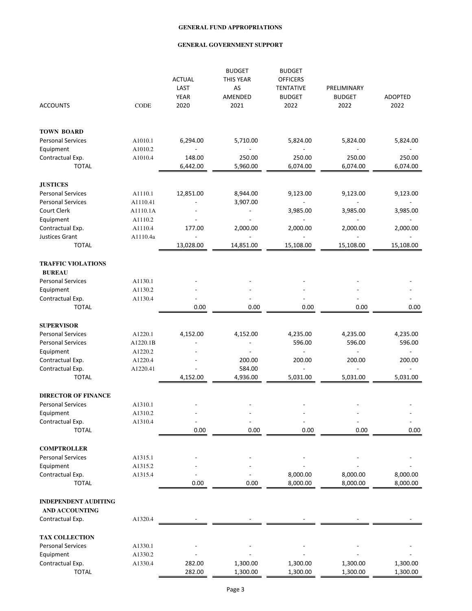|                                                      |             | <b>ACTUAL</b><br>LAST<br><b>YEAR</b> | <b>BUDGET</b><br>THIS YEAR<br>AS<br>AMENDED | <b>BUDGET</b><br><b>OFFICERS</b><br><b>TENTATIVE</b><br><b>BUDGET</b> | PRELIMINARY<br><b>BUDGET</b> | <b>ADOPTED</b>     |
|------------------------------------------------------|-------------|--------------------------------------|---------------------------------------------|-----------------------------------------------------------------------|------------------------------|--------------------|
| <b>ACCOUNTS</b>                                      | <b>CODE</b> | 2020                                 | 2021                                        | 2022                                                                  | 2022                         | 2022               |
| <b>TOWN BOARD</b>                                    |             |                                      |                                             |                                                                       |                              |                    |
| <b>Personal Services</b>                             | A1010.1     | 6,294.00                             | 5,710.00                                    | 5,824.00                                                              | 5,824.00                     | 5,824.00           |
| Equipment                                            | A1010.2     |                                      |                                             |                                                                       |                              |                    |
| Contractual Exp.<br><b>TOTAL</b>                     | A1010.4     | 148.00<br>6,442.00                   | 250.00<br>5,960.00                          | 250.00<br>6,074.00                                                    | 250.00<br>6,074.00           | 250.00<br>6,074.00 |
| <b>JUSTICES</b>                                      |             |                                      |                                             |                                                                       |                              |                    |
| <b>Personal Services</b>                             | A1110.1     | 12,851.00                            | 8,944.00                                    | 9,123.00                                                              | 9,123.00                     | 9,123.00           |
| <b>Personal Services</b>                             | A1110.41    |                                      | 3,907.00                                    |                                                                       |                              |                    |
| Court Clerk                                          | A1110.1A    |                                      |                                             | 3,985.00                                                              | 3,985.00                     | 3,985.00           |
| Equipment                                            | A1110.2     |                                      |                                             |                                                                       |                              |                    |
| Contractual Exp.                                     | A1110.4     | 177.00                               | 2,000.00                                    | 2,000.00                                                              | 2,000.00                     | 2,000.00           |
| Justices Grant                                       | A1110.4a    | $\overline{a}$                       |                                             |                                                                       |                              |                    |
| <b>TOTAL</b>                                         |             | 13,028.00                            | 14,851.00                                   | 15,108.00                                                             | 15,108.00                    | 15,108.00          |
| <b>TRAFFIC VIOLATIONS</b><br><b>BUREAU</b>           |             |                                      |                                             |                                                                       |                              |                    |
| <b>Personal Services</b>                             | A1130.1     |                                      |                                             |                                                                       |                              |                    |
| Equipment                                            | A1130.2     |                                      |                                             |                                                                       |                              |                    |
| Contractual Exp.                                     | A1130.4     | $\overline{\phantom{a}}$             |                                             |                                                                       |                              |                    |
| <b>TOTAL</b>                                         |             | 0.00                                 | 0.00                                        | 0.00                                                                  | 0.00                         | 0.00               |
| <b>SUPERVISOR</b>                                    |             |                                      |                                             |                                                                       |                              |                    |
| <b>Personal Services</b>                             | A1220.1     | 4,152.00                             | 4,152.00                                    | 4,235.00                                                              | 4,235.00                     | 4,235.00           |
| <b>Personal Services</b>                             | A1220.1B    |                                      |                                             | 596.00                                                                | 596.00                       | 596.00             |
| Equipment                                            | A1220.2     | ٠                                    |                                             |                                                                       |                              |                    |
| Contractual Exp.                                     | A1220.4     |                                      | 200.00                                      | 200.00                                                                | 200.00                       | 200.00             |
| Contractual Exp.                                     | A1220.41    |                                      | 584.00                                      |                                                                       |                              |                    |
| <b>TOTAL</b>                                         |             | 4,152.00                             | 4,936.00                                    | 5,031.00                                                              | 5,031.00                     | 5,031.00           |
| <b>DIRECTOR OF FINANCE</b>                           |             |                                      |                                             |                                                                       |                              |                    |
| <b>Personal Services</b>                             | A1310.1     |                                      |                                             |                                                                       |                              |                    |
| Equipment                                            | A1310.2     |                                      |                                             |                                                                       |                              |                    |
| Contractual Exp.                                     | A1310.4     |                                      |                                             |                                                                       |                              |                    |
| <b>TOTAL</b>                                         |             | 0.00                                 | 0.00                                        | 0.00                                                                  | 0.00                         | 0.00               |
| <b>COMPTROLLER</b>                                   |             |                                      |                                             |                                                                       |                              |                    |
| <b>Personal Services</b>                             | A1315.1     |                                      |                                             |                                                                       |                              |                    |
| Equipment                                            | A1315.2     |                                      |                                             |                                                                       |                              |                    |
| Contractual Exp.                                     | A1315.4     |                                      |                                             | 8,000.00                                                              | 8,000.00                     | 8,000.00           |
| <b>TOTAL</b>                                         |             | 0.00                                 | 0.00                                        | 8,000.00                                                              | 8,000.00                     | 8,000.00           |
| <b>INDEPENDENT AUDITING</b><br><b>AND ACCOUNTING</b> |             |                                      |                                             |                                                                       |                              |                    |
| Contractual Exp.                                     | A1320.4     |                                      |                                             |                                                                       |                              |                    |
| <b>TAX COLLECTION</b>                                |             |                                      |                                             |                                                                       |                              |                    |
| <b>Personal Services</b>                             | A1330.1     |                                      |                                             |                                                                       |                              |                    |
| Equipment                                            | A1330.2     |                                      |                                             |                                                                       |                              |                    |
| Contractual Exp.                                     | A1330.4     | 282.00                               | 1,300.00                                    | 1,300.00                                                              | 1,300.00                     | 1,300.00           |
| <b>TOTAL</b>                                         |             | 282.00                               | 1,300.00                                    | 1,300.00                                                              | 1,300.00                     | 1,300.00           |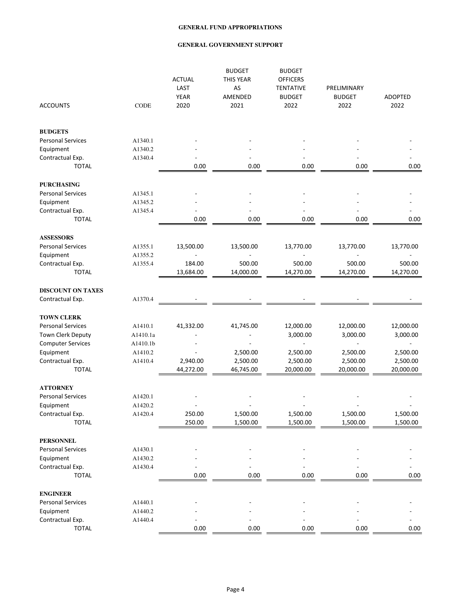| <b>ACCOUNTS</b>          | <b>CODE</b> | <b>ACTUAL</b><br>LAST<br><b>YEAR</b><br>2020 | <b>BUDGET</b><br>THIS YEAR<br>AS<br>AMENDED<br>2021 | <b>BUDGET</b><br><b>OFFICERS</b><br><b>TENTATIVE</b><br><b>BUDGET</b><br>2022 | PRELIMINARY<br><b>BUDGET</b><br>2022 | <b>ADOPTED</b><br>2022 |
|--------------------------|-------------|----------------------------------------------|-----------------------------------------------------|-------------------------------------------------------------------------------|--------------------------------------|------------------------|
|                          |             |                                              |                                                     |                                                                               |                                      |                        |
| <b>BUDGETS</b>           |             |                                              |                                                     |                                                                               |                                      |                        |
| <b>Personal Services</b> | A1340.1     |                                              |                                                     |                                                                               |                                      |                        |
| Equipment                | A1340.2     |                                              |                                                     |                                                                               |                                      |                        |
| Contractual Exp.         | A1340.4     |                                              |                                                     |                                                                               |                                      |                        |
| <b>TOTAL</b>             |             | 0.00                                         | 0.00                                                | 0.00                                                                          | 0.00                                 | 0.00                   |
| <b>PURCHASING</b>        |             |                                              |                                                     |                                                                               |                                      |                        |
| <b>Personal Services</b> | A1345.1     |                                              |                                                     |                                                                               |                                      |                        |
| Equipment                | A1345.2     |                                              |                                                     |                                                                               |                                      |                        |
| Contractual Exp.         | A1345.4     |                                              |                                                     |                                                                               |                                      |                        |
| <b>TOTAL</b>             |             | 0.00                                         | 0.00                                                | 0.00                                                                          | 0.00                                 | 0.00                   |
| <b>ASSESSORS</b>         |             |                                              |                                                     |                                                                               |                                      |                        |
| <b>Personal Services</b> | A1355.1     | 13,500.00                                    | 13,500.00                                           | 13,770.00                                                                     | 13,770.00                            | 13,770.00              |
| Equipment                | A1355.2     |                                              |                                                     |                                                                               |                                      |                        |
| Contractual Exp.         | A1355.4     | 184.00                                       | 500.00                                              | 500.00                                                                        | 500.00                               | 500.00                 |
| <b>TOTAL</b>             |             | 13,684.00                                    | 14,000.00                                           | 14,270.00                                                                     | 14,270.00                            | 14,270.00              |
| <b>DISCOUNT ON TAXES</b> |             |                                              |                                                     |                                                                               |                                      |                        |
| Contractual Exp.         | A1370.4     |                                              |                                                     |                                                                               |                                      |                        |
|                          |             |                                              |                                                     |                                                                               |                                      |                        |
| <b>TOWN CLERK</b>        |             |                                              |                                                     |                                                                               |                                      |                        |
| <b>Personal Services</b> | A1410.1     | 41,332.00                                    | 41,745.00                                           | 12,000.00                                                                     | 12,000.00                            | 12,000.00              |
| Town Clerk Deputy        | A1410.1a    |                                              |                                                     | 3,000.00                                                                      | 3,000.00                             | 3,000.00               |
| <b>Computer Services</b> | A1410.1b    |                                              |                                                     | $\overline{\phantom{a}}$                                                      | L,                                   |                        |
| Equipment                | A1410.2     | ÷,                                           | 2,500.00                                            | 2,500.00                                                                      | 2,500.00                             | 2,500.00               |
| Contractual Exp.         | A1410.4     | 2,940.00                                     | 2,500.00                                            | 2,500.00                                                                      | 2,500.00                             | 2,500.00               |
| <b>TOTAL</b>             |             | 44,272.00                                    | 46,745.00                                           | 20,000.00                                                                     | 20,000.00                            | 20,000.00              |
| <b>ATTORNEY</b>          |             |                                              |                                                     |                                                                               |                                      |                        |
| <b>Personal Services</b> | A1420.1     |                                              |                                                     |                                                                               |                                      |                        |
| Equipment                | A1420.2     |                                              |                                                     |                                                                               |                                      |                        |
| Contractual Exp.         | A1420.4     | 250.00                                       | 1,500.00                                            | 1,500.00                                                                      | 1,500.00                             | 1,500.00               |
| <b>TOTAL</b>             |             | 250.00                                       | 1,500.00                                            | 1,500.00                                                                      | 1,500.00                             | 1,500.00               |
| <b>PERSONNEL</b>         |             |                                              |                                                     |                                                                               |                                      |                        |
| <b>Personal Services</b> | A1430.1     |                                              |                                                     |                                                                               |                                      |                        |
| Equipment                | A1430.2     |                                              |                                                     |                                                                               |                                      |                        |
| Contractual Exp.         | A1430.4     |                                              |                                                     |                                                                               |                                      |                        |
| <b>TOTAL</b>             |             | 0.00                                         | 0.00                                                | 0.00                                                                          | 0.00                                 | 0.00                   |
| <b>ENGINEER</b>          |             |                                              |                                                     |                                                                               |                                      |                        |
| <b>Personal Services</b> | A1440.1     |                                              |                                                     |                                                                               |                                      |                        |
| Equipment                | A1440.2     |                                              |                                                     |                                                                               |                                      |                        |
| Contractual Exp.         | A1440.4     |                                              |                                                     |                                                                               |                                      |                        |
| <b>TOTAL</b>             |             | 0.00                                         | 0.00                                                | 0.00                                                                          | 0.00                                 | 0.00                   |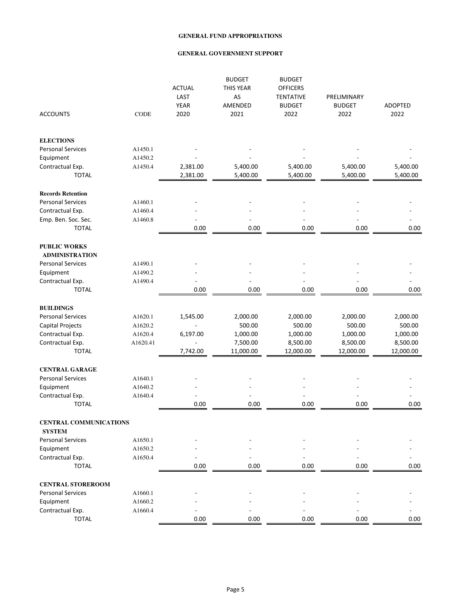| <b>ACCOUNTS</b>                                | CODE     | <b>ACTUAL</b><br>LAST<br><b>YEAR</b><br>2020 | <b>BUDGET</b><br><b>THIS YEAR</b><br>AS<br>AMENDED<br>2021 | <b>BUDGET</b><br><b>OFFICERS</b><br><b>TENTATIVE</b><br><b>BUDGET</b><br>2022 | PRELIMINARY<br><b>BUDGET</b><br>2022 | ADOPTED<br>2022 |
|------------------------------------------------|----------|----------------------------------------------|------------------------------------------------------------|-------------------------------------------------------------------------------|--------------------------------------|-----------------|
|                                                |          |                                              |                                                            |                                                                               |                                      |                 |
| <b>ELECTIONS</b>                               |          |                                              |                                                            |                                                                               |                                      |                 |
| <b>Personal Services</b>                       | A1450.1  |                                              |                                                            |                                                                               |                                      |                 |
| Equipment                                      | A1450.2  |                                              |                                                            |                                                                               |                                      |                 |
| Contractual Exp.                               | A1450.4  | 2,381.00                                     | 5,400.00                                                   | 5,400.00                                                                      | 5,400.00                             | 5,400.00        |
| <b>TOTAL</b>                                   |          | 2,381.00                                     | 5,400.00                                                   | 5,400.00                                                                      | 5,400.00                             | 5,400.00        |
| <b>Records Retention</b>                       |          |                                              |                                                            |                                                                               |                                      |                 |
| <b>Personal Services</b>                       | A1460.1  |                                              |                                                            |                                                                               |                                      |                 |
| Contractual Exp.                               | A1460.4  |                                              |                                                            |                                                                               |                                      |                 |
| Emp. Ben. Soc. Sec.                            | A1460.8  |                                              |                                                            |                                                                               |                                      |                 |
| <b>TOTAL</b>                                   |          | 0.00                                         | 0.00                                                       | 0.00                                                                          | 0.00                                 | 0.00            |
| <b>PUBLIC WORKS</b><br><b>ADMINISTRATION</b>   |          |                                              |                                                            |                                                                               |                                      |                 |
| <b>Personal Services</b>                       | A1490.1  |                                              |                                                            |                                                                               |                                      |                 |
| Equipment                                      | A1490.2  |                                              |                                                            |                                                                               |                                      |                 |
| Contractual Exp.                               | A1490.4  | $\overline{a}$                               |                                                            |                                                                               |                                      |                 |
| <b>TOTAL</b>                                   |          | 0.00                                         | 0.00                                                       | 0.00                                                                          | 0.00                                 | 0.00            |
| <b>BUILDINGS</b>                               |          |                                              |                                                            |                                                                               |                                      |                 |
| <b>Personal Services</b>                       | A1620.1  | 1,545.00                                     | 2,000.00                                                   | 2,000.00                                                                      | 2,000.00                             | 2,000.00        |
| Capital Projects                               | A1620.2  |                                              | 500.00                                                     | 500.00                                                                        | 500.00                               | 500.00          |
| Contractual Exp.                               | A1620.4  | 6,197.00                                     | 1,000.00                                                   | 1,000.00                                                                      | 1,000.00                             | 1,000.00        |
| Contractual Exp.                               | A1620.41 | ÷,                                           | 7,500.00                                                   | 8,500.00                                                                      | 8,500.00                             | 8,500.00        |
| <b>TOTAL</b>                                   |          | 7,742.00                                     | 11,000.00                                                  | 12,000.00                                                                     | 12,000.00                            | 12,000.00       |
| <b>CENTRAL GARAGE</b>                          |          |                                              |                                                            |                                                                               |                                      |                 |
| <b>Personal Services</b>                       | A1640.1  |                                              |                                                            |                                                                               |                                      |                 |
| Equipment                                      | A1640.2  |                                              |                                                            |                                                                               |                                      |                 |
| Contractual Exp.                               | A1640.4  |                                              |                                                            |                                                                               |                                      |                 |
| <b>TOTAL</b>                                   |          | 0.00                                         | 0.00                                                       | 0.00                                                                          | 0.00                                 | 0.00            |
| <b>CENTRAL COMMUNICATIONS</b><br><b>SYSTEM</b> |          |                                              |                                                            |                                                                               |                                      |                 |
| <b>Personal Services</b>                       | A1650.1  |                                              |                                                            |                                                                               |                                      |                 |
| Equipment                                      | A1650.2  |                                              |                                                            |                                                                               |                                      |                 |
| Contractual Exp.                               | A1650.4  |                                              |                                                            |                                                                               |                                      |                 |
| <b>TOTAL</b>                                   |          | 0.00                                         | 0.00                                                       | 0.00                                                                          | 0.00                                 | 0.00            |
| <b>CENTRAL STOREROOM</b>                       |          |                                              |                                                            |                                                                               |                                      |                 |
| <b>Personal Services</b>                       | A1660.1  |                                              |                                                            |                                                                               |                                      |                 |
| Equipment                                      | A1660.2  |                                              |                                                            |                                                                               |                                      |                 |
| Contractual Exp.                               | A1660.4  |                                              |                                                            |                                                                               |                                      |                 |
| <b>TOTAL</b>                                   |          | 0.00                                         | 0.00                                                       | 0.00                                                                          | 0.00                                 | 0.00            |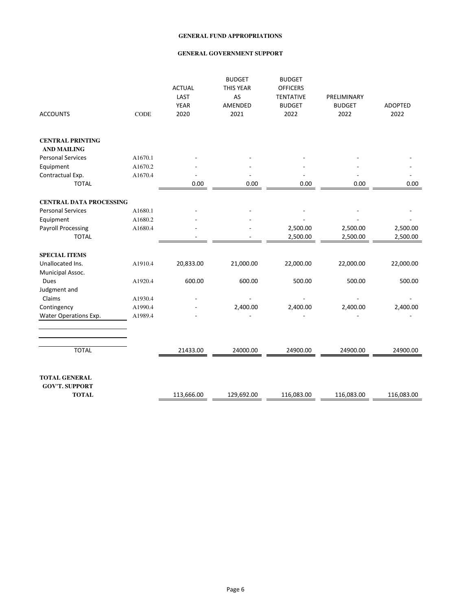| <b>ACCOUNTS</b>                       | <b>CODE</b> | <b>ACTUAL</b><br>LAST<br><b>YEAR</b><br>2020 | <b>BUDGET</b><br><b>THIS YEAR</b><br>AS<br>AMENDED<br>2021 | <b>BUDGET</b><br><b>OFFICERS</b><br><b>TENTATIVE</b><br><b>BUDGET</b><br>2022 | PRELIMINARY<br><b>BUDGET</b><br>2022 | <b>ADOPTED</b><br>2022 |
|---------------------------------------|-------------|----------------------------------------------|------------------------------------------------------------|-------------------------------------------------------------------------------|--------------------------------------|------------------------|
| <b>CENTRAL PRINTING</b>               |             |                                              |                                                            |                                                                               |                                      |                        |
| <b>AND MAILING</b>                    |             |                                              |                                                            |                                                                               |                                      |                        |
| <b>Personal Services</b>              | A1670.1     |                                              |                                                            |                                                                               |                                      |                        |
| Equipment                             | A1670.2     |                                              |                                                            |                                                                               |                                      |                        |
| Contractual Exp.<br><b>TOTAL</b>      | A1670.4     | 0.00                                         | 0.00                                                       | 0.00                                                                          | 0.00                                 | 0.00                   |
| <b>CENTRAL DATA PROCESSING</b>        |             |                                              |                                                            |                                                                               |                                      |                        |
| <b>Personal Services</b>              | A1680.1     |                                              |                                                            |                                                                               |                                      |                        |
| Equipment                             | A1680.2     |                                              |                                                            |                                                                               |                                      |                        |
| <b>Payroll Processing</b>             | A1680.4     |                                              |                                                            | 2,500.00                                                                      | 2,500.00                             | 2,500.00               |
| <b>TOTAL</b>                          |             |                                              |                                                            | 2,500.00                                                                      | 2,500.00                             | 2,500.00               |
| <b>SPECIAL ITEMS</b>                  |             |                                              |                                                            |                                                                               |                                      |                        |
| Unallocated Ins.                      | A1910.4     | 20,833.00                                    | 21,000.00                                                  | 22,000.00                                                                     | 22,000.00                            | 22,000.00              |
| Municipal Assoc.                      |             |                                              |                                                            |                                                                               |                                      |                        |
| Dues                                  | A1920.4     | 600.00                                       | 600.00                                                     | 500.00                                                                        | 500.00                               | 500.00                 |
| Judgment and                          |             |                                              |                                                            |                                                                               |                                      |                        |
| Claims                                | A1930.4     |                                              |                                                            |                                                                               |                                      |                        |
| Contingency                           | A1990.4     |                                              | 2,400.00                                                   | 2,400.00                                                                      | 2,400.00                             | 2,400.00               |
| Water Operations Exp.                 | A1989.4     |                                              |                                                            |                                                                               |                                      |                        |
|                                       |             |                                              |                                                            |                                                                               |                                      |                        |
| <b>TOTAL</b>                          |             | 21433.00                                     | 24000.00                                                   | 24900.00                                                                      | 24900.00                             | 24900.00               |
| <b>TOTAL GENERAL</b>                  |             |                                              |                                                            |                                                                               |                                      |                        |
| <b>GOV'T. SUPPORT</b><br><b>TOTAL</b> |             | 113,666.00                                   | 129,692.00                                                 | 116,083.00                                                                    | 116,083.00                           | 116,083.00             |
|                                       |             |                                              |                                                            |                                                                               |                                      |                        |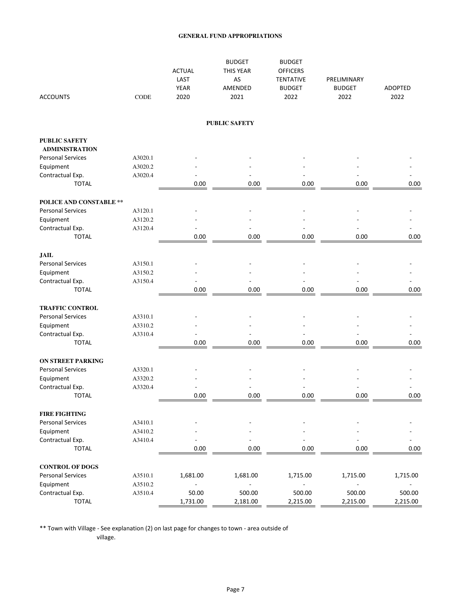| <b>ACCOUNTS</b>                               | CODE    | <b>ACTUAL</b><br>LAST<br><b>YEAR</b><br>2020 | <b>BUDGET</b><br><b>THIS YEAR</b><br>AS<br>AMENDED<br>2021 | <b>BUDGET</b><br><b>OFFICERS</b><br><b>TENTATIVE</b><br><b>BUDGET</b><br>2022 | PRELIMINARY<br><b>BUDGET</b><br>2022 | <b>ADOPTED</b><br>2022 |
|-----------------------------------------------|---------|----------------------------------------------|------------------------------------------------------------|-------------------------------------------------------------------------------|--------------------------------------|------------------------|
|                                               |         |                                              | <b>PUBLIC SAFETY</b>                                       |                                                                               |                                      |                        |
| <b>PUBLIC SAFETY</b><br><b>ADMINISTRATION</b> |         |                                              |                                                            |                                                                               |                                      |                        |
| <b>Personal Services</b>                      | A3020.1 |                                              |                                                            |                                                                               |                                      |                        |
| Equipment                                     | A3020.2 |                                              |                                                            |                                                                               |                                      |                        |
| Contractual Exp.                              | A3020.4 |                                              |                                                            |                                                                               |                                      |                        |
| <b>TOTAL</b>                                  |         | 0.00                                         | 0.00                                                       | 0.00                                                                          | 0.00                                 | 0.00                   |
| <b>POLICE AND CONSTABLE **</b>                |         |                                              |                                                            |                                                                               |                                      |                        |
| <b>Personal Services</b>                      | A3120.1 |                                              |                                                            |                                                                               |                                      |                        |
| Equipment                                     | A3120.2 |                                              |                                                            |                                                                               |                                      |                        |
| Contractual Exp.                              | A3120.4 |                                              |                                                            |                                                                               |                                      |                        |
| <b>TOTAL</b>                                  |         | 0.00                                         | 0.00                                                       | 0.00                                                                          | 0.00                                 | 0.00                   |
| <b>JAIL</b>                                   |         |                                              |                                                            |                                                                               |                                      |                        |
| <b>Personal Services</b>                      | A3150.1 |                                              |                                                            |                                                                               |                                      |                        |
| Equipment                                     | A3150.2 |                                              |                                                            |                                                                               |                                      |                        |
| Contractual Exp.                              | A3150.4 |                                              |                                                            |                                                                               |                                      |                        |
| <b>TOTAL</b>                                  |         | 0.00                                         | 0.00                                                       | 0.00                                                                          | 0.00                                 | 0.00                   |
| <b>TRAFFIC CONTROL</b>                        |         |                                              |                                                            |                                                                               |                                      |                        |
| <b>Personal Services</b>                      | A3310.1 |                                              |                                                            |                                                                               |                                      |                        |
| Equipment                                     | A3310.2 |                                              |                                                            |                                                                               |                                      |                        |
| Contractual Exp.                              | A3310.4 |                                              |                                                            |                                                                               |                                      |                        |
| <b>TOTAL</b>                                  |         | 0.00                                         | 0.00                                                       | 0.00                                                                          | 0.00                                 | 0.00                   |
| <b>ON STREET PARKING</b>                      |         |                                              |                                                            |                                                                               |                                      |                        |
| <b>Personal Services</b>                      | A3320.1 |                                              |                                                            |                                                                               |                                      |                        |
| Equipment                                     | A3320.2 |                                              |                                                            |                                                                               |                                      |                        |
| Contractual Exp.                              | A3320.4 |                                              |                                                            |                                                                               |                                      |                        |
| <b>TOTAL</b>                                  |         | 0.00                                         | 0.00                                                       | 0.00                                                                          | 0.00                                 | 0.00                   |
| <b>FIRE FIGHTING</b>                          |         |                                              |                                                            |                                                                               |                                      |                        |
| <b>Personal Services</b>                      | A3410.1 |                                              |                                                            |                                                                               |                                      |                        |
| Equipment                                     | A3410.2 |                                              |                                                            |                                                                               |                                      |                        |
| Contractual Exp.                              | A3410.4 |                                              |                                                            |                                                                               |                                      |                        |
| <b>TOTAL</b>                                  |         | 0.00                                         | 0.00                                                       | 0.00                                                                          | 0.00                                 | 0.00                   |
| <b>CONTROL OF DOGS</b>                        |         |                                              |                                                            |                                                                               |                                      |                        |
| <b>Personal Services</b>                      | A3510.1 | 1,681.00                                     | 1,681.00                                                   | 1,715.00                                                                      | 1,715.00                             | 1,715.00               |
| Equipment                                     | A3510.2 | $\overline{\phantom{a}}$                     | $\overline{a}$                                             | $\frac{1}{2}$                                                                 | $\overline{\phantom{a}}$             |                        |
| Contractual Exp.                              | A3510.4 | 50.00                                        | 500.00                                                     | 500.00                                                                        | 500.00                               | 500.00                 |
| <b>TOTAL</b>                                  |         | 1,731.00                                     | 2,181.00                                                   | 2,215.00                                                                      | 2,215.00                             | 2,215.00               |

\*\* Town with Village - See explanation (2) on last page for changes to town - area outside of village.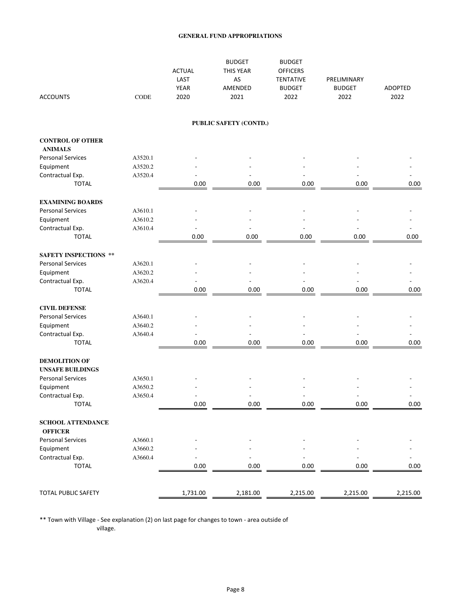| <b>ACCOUNTS</b>                            | <b>CODE</b> | <b>ACTUAL</b><br>LAST<br><b>YEAR</b><br>2020 | <b>BUDGET</b><br><b>THIS YEAR</b><br>AS<br>AMENDED<br>2021 | <b>BUDGET</b><br><b>OFFICERS</b><br><b>TENTATIVE</b><br><b>BUDGET</b><br>2022 | PRELIMINARY<br><b>BUDGET</b><br>2022 | ADOPTED<br>2022 |
|--------------------------------------------|-------------|----------------------------------------------|------------------------------------------------------------|-------------------------------------------------------------------------------|--------------------------------------|-----------------|
|                                            |             |                                              | PUBLIC SAFETY (CONTD.)                                     |                                                                               |                                      |                 |
| <b>CONTROL OF OTHER</b><br><b>ANIMALS</b>  |             |                                              |                                                            |                                                                               |                                      |                 |
| <b>Personal Services</b>                   | A3520.1     |                                              |                                                            |                                                                               |                                      |                 |
| Equipment                                  | A3520.2     |                                              |                                                            |                                                                               |                                      |                 |
| Contractual Exp.                           | A3520.4     |                                              |                                                            |                                                                               |                                      |                 |
| <b>TOTAL</b>                               |             | 0.00                                         | 0.00                                                       | 0.00                                                                          | 0.00                                 | 0.00            |
| <b>EXAMINING BOARDS</b>                    |             |                                              |                                                            |                                                                               |                                      |                 |
| <b>Personal Services</b>                   | A3610.1     |                                              |                                                            |                                                                               |                                      |                 |
| Equipment                                  | A3610.2     |                                              |                                                            |                                                                               |                                      |                 |
| Contractual Exp.                           | A3610.4     |                                              |                                                            |                                                                               |                                      |                 |
| <b>TOTAL</b>                               |             | 0.00                                         | 0.00                                                       | 0.00                                                                          | 0.00                                 | 0.00            |
| <b>SAFETY INSPECTIONS **</b>               |             |                                              |                                                            |                                                                               |                                      |                 |
| <b>Personal Services</b>                   | A3620.1     |                                              |                                                            |                                                                               |                                      |                 |
| Equipment                                  | A3620.2     |                                              |                                                            |                                                                               |                                      |                 |
| Contractual Exp.                           | A3620.4     | $\overline{a}$                               |                                                            |                                                                               | Ĭ.                                   |                 |
| <b>TOTAL</b>                               |             | 0.00                                         | 0.00                                                       | 0.00                                                                          | 0.00                                 | 0.00            |
| <b>CIVIL DEFENSE</b>                       |             |                                              |                                                            |                                                                               |                                      |                 |
| <b>Personal Services</b>                   | A3640.1     |                                              |                                                            |                                                                               |                                      |                 |
| Equipment                                  | A3640.2     |                                              |                                                            |                                                                               |                                      |                 |
| Contractual Exp.                           | A3640.4     |                                              |                                                            |                                                                               |                                      |                 |
| <b>TOTAL</b>                               |             | 0.00                                         | 0.00                                                       | 0.00                                                                          | 0.00                                 | 0.00            |
| <b>DEMOLITION OF</b>                       |             |                                              |                                                            |                                                                               |                                      |                 |
| <b>UNSAFE BUILDINGS</b>                    |             |                                              |                                                            |                                                                               |                                      |                 |
| <b>Personal Services</b>                   | A3650.1     |                                              |                                                            |                                                                               |                                      |                 |
| Equipment                                  | A3650.2     |                                              |                                                            |                                                                               |                                      |                 |
| Contractual Exp.                           | A3650.4     |                                              |                                                            |                                                                               |                                      |                 |
| <b>TOTAL</b>                               |             | 0.00                                         | 0.00                                                       | 0.00                                                                          | 0.00                                 | 0.00            |
| <b>SCHOOL ATTENDANCE</b><br><b>OFFICER</b> |             |                                              |                                                            |                                                                               |                                      |                 |
| <b>Personal Services</b>                   | A3660.1     |                                              |                                                            |                                                                               |                                      |                 |
| Equipment                                  | A3660.2     |                                              |                                                            |                                                                               |                                      |                 |
| Contractual Exp.                           | A3660.4     |                                              |                                                            |                                                                               |                                      |                 |
| <b>TOTAL</b>                               |             | 0.00                                         | 0.00                                                       | 0.00                                                                          | 0.00                                 | 0.00            |
| TOTAL PUBLIC SAFETY                        |             |                                              |                                                            |                                                                               |                                      | 2,215.00        |
|                                            |             | 1,731.00                                     | 2,181.00                                                   | 2,215.00                                                                      | 2,215.00                             |                 |

\*\* Town with Village - See explanation (2) on last page for changes to town - area outside of

village.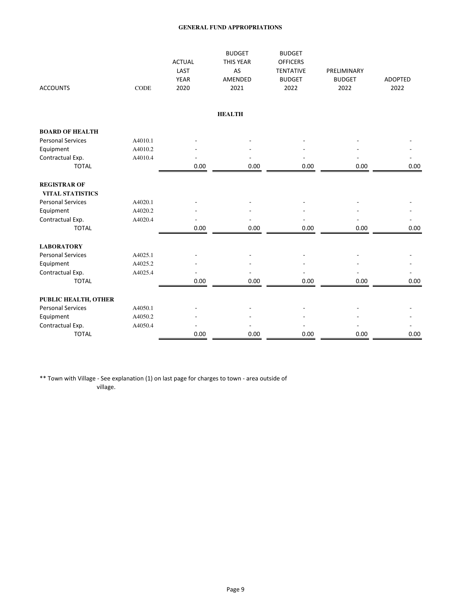|                                                |             | <b>ACTUAL</b><br>LAST | <b>BUDGET</b><br>THIS YEAR<br>AS | <b>BUDGET</b><br><b>OFFICERS</b><br><b>TENTATIVE</b> | PRELIMINARY           |                        |
|------------------------------------------------|-------------|-----------------------|----------------------------------|------------------------------------------------------|-----------------------|------------------------|
| <b>ACCOUNTS</b>                                | <b>CODE</b> | <b>YEAR</b><br>2020   | AMENDED<br>2021                  | <b>BUDGET</b><br>2022                                | <b>BUDGET</b><br>2022 | <b>ADOPTED</b><br>2022 |
|                                                |             |                       | <b>HEALTH</b>                    |                                                      |                       |                        |
| <b>BOARD OF HEALTH</b>                         |             |                       |                                  |                                                      |                       |                        |
| <b>Personal Services</b>                       | A4010.1     |                       |                                  |                                                      |                       |                        |
| Equipment                                      | A4010.2     |                       |                                  |                                                      |                       |                        |
| Contractual Exp.                               | A4010.4     |                       |                                  |                                                      |                       |                        |
| <b>TOTAL</b>                                   |             | 0.00                  | 0.00                             | 0.00                                                 | 0.00                  | 0.00                   |
| <b>REGISTRAR OF</b><br><b>VITAL STATISTICS</b> |             |                       |                                  |                                                      |                       |                        |
| <b>Personal Services</b>                       | A4020.1     |                       |                                  |                                                      |                       |                        |
| Equipment                                      | A4020.2     |                       |                                  |                                                      |                       |                        |
| Contractual Exp.                               | A4020.4     |                       |                                  |                                                      |                       |                        |
| <b>TOTAL</b>                                   |             | 0.00                  | 0.00                             | 0.00                                                 | 0.00                  | 0.00                   |
| <b>LABORATORY</b>                              |             |                       |                                  |                                                      |                       |                        |
| <b>Personal Services</b>                       | A4025.1     |                       |                                  |                                                      |                       |                        |
| Equipment                                      | A4025.2     |                       |                                  |                                                      |                       |                        |
| Contractual Exp.                               | A4025.4     |                       |                                  |                                                      |                       |                        |
| <b>TOTAL</b>                                   |             | 0.00                  | 0.00                             | 0.00                                                 | 0.00                  | 0.00                   |
| PUBLIC HEALTH, OTHER                           |             |                       |                                  |                                                      |                       |                        |
| <b>Personal Services</b>                       | A4050.1     |                       |                                  |                                                      |                       |                        |
| Equipment                                      | A4050.2     |                       |                                  |                                                      |                       |                        |
| Contractual Exp.                               | A4050.4     |                       |                                  |                                                      |                       |                        |
| <b>TOTAL</b>                                   |             | 0.00                  | 0.00                             | 0.00                                                 | 0.00                  | 0.00                   |

\*\* Town with Village - See explanation (1) on last page for charges to town - area outside of village.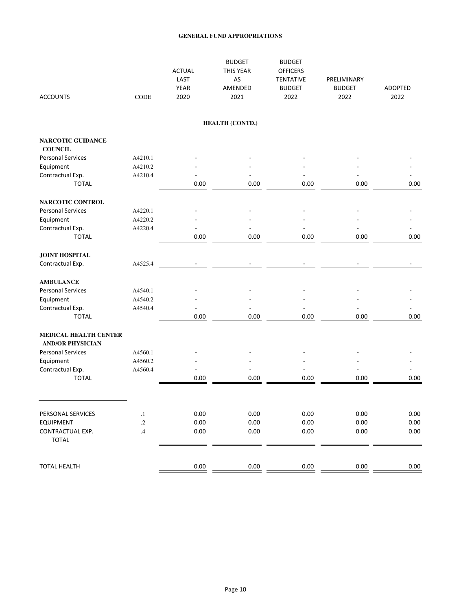| <b>ACCOUNTS</b>                                         | <b>CODE</b>   | <b>ACTUAL</b><br>LAST<br><b>YEAR</b><br>2020 | <b>BUDGET</b><br>THIS YEAR<br>AS<br>AMENDED<br>2021 | <b>BUDGET</b><br><b>OFFICERS</b><br><b>TENTATIVE</b><br><b>BUDGET</b><br>2022 | PRELIMINARY<br><b>BUDGET</b><br>2022 | <b>ADOPTED</b><br>2022 |
|---------------------------------------------------------|---------------|----------------------------------------------|-----------------------------------------------------|-------------------------------------------------------------------------------|--------------------------------------|------------------------|
|                                                         |               |                                              | HEALTH (CONTD.)                                     |                                                                               |                                      |                        |
| <b>NARCOTIC GUIDANCE</b><br><b>COUNCIL</b>              |               |                                              |                                                     |                                                                               |                                      |                        |
| <b>Personal Services</b>                                | A4210.1       |                                              |                                                     |                                                                               |                                      |                        |
| Equipment                                               | A4210.2       |                                              |                                                     |                                                                               |                                      |                        |
| Contractual Exp.                                        | A4210.4       |                                              |                                                     |                                                                               |                                      |                        |
| <b>TOTAL</b>                                            |               | 0.00                                         | 0.00                                                | 0.00                                                                          | 0.00                                 | 0.00                   |
| NARCOTIC CONTROL                                        |               |                                              |                                                     |                                                                               |                                      |                        |
| <b>Personal Services</b>                                | A4220.1       |                                              |                                                     |                                                                               |                                      |                        |
| Equipment                                               | A4220.2       |                                              |                                                     |                                                                               |                                      |                        |
| Contractual Exp.                                        | A4220.4       |                                              |                                                     |                                                                               |                                      |                        |
| <b>TOTAL</b>                                            |               | 0.00                                         | 0.00                                                | 0.00                                                                          | 0.00                                 | 0.00                   |
| <b>JOINT HOSPITAL</b>                                   |               |                                              |                                                     |                                                                               |                                      |                        |
| Contractual Exp.                                        | A4525.4       |                                              |                                                     |                                                                               |                                      |                        |
| <b>AMBULANCE</b>                                        |               |                                              |                                                     |                                                                               |                                      |                        |
| <b>Personal Services</b>                                | A4540.1       |                                              |                                                     |                                                                               |                                      |                        |
| Equipment                                               | A4540.2       |                                              |                                                     |                                                                               |                                      |                        |
| Contractual Exp.                                        | A4540.4       |                                              |                                                     |                                                                               |                                      |                        |
| <b>TOTAL</b>                                            |               | 0.00                                         | 0.00                                                | 0.00                                                                          | 0.00                                 | 0.00                   |
| <b>MEDICAL HEALTH CENTER</b><br><b>AND/OR PHYSICIAN</b> |               |                                              |                                                     |                                                                               |                                      |                        |
| <b>Personal Services</b>                                | A4560.1       |                                              |                                                     |                                                                               |                                      |                        |
| Equipment                                               | A4560.2       |                                              |                                                     |                                                                               |                                      |                        |
| Contractual Exp.                                        | A4560.4       |                                              |                                                     |                                                                               |                                      |                        |
| <b>TOTAL</b>                                            |               | 0.00                                         | 0.00                                                | 0.00                                                                          | 0.00                                 | 0.00                   |
|                                                         |               |                                              |                                                     |                                                                               |                                      |                        |
| PERSONAL SERVICES                                       | $\cdot$       | 0.00                                         | 0.00                                                | 0.00                                                                          | 0.00                                 | 0.00                   |
| <b>EQUIPMENT</b>                                        | $\cdot$       | 0.00                                         | 0.00                                                | 0.00                                                                          | 0.00                                 | 0.00                   |
| CONTRACTUAL EXP.<br><b>TOTAL</b>                        | $\mathcal{A}$ | 0.00                                         | 0.00                                                | 0.00                                                                          | 0.00                                 | 0.00                   |
| <b>TOTAL HEALTH</b>                                     |               | 0.00                                         | 0.00                                                | 0.00                                                                          | 0.00                                 | 0.00                   |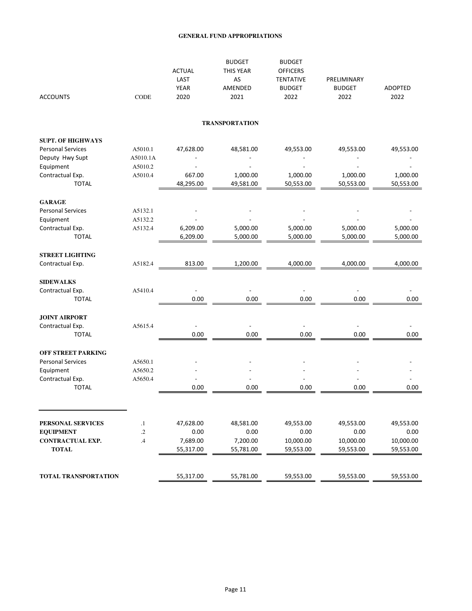| <b>ACCOUNTS</b>                  | CODE     | <b>ACTUAL</b><br>LAST<br>YEAR<br>2020 | <b>BUDGET</b><br>THIS YEAR<br>AS<br>AMENDED<br>2021 | <b>BUDGET</b><br><b>OFFICERS</b><br><b>TENTATIVE</b><br><b>BUDGET</b><br>2022 | PRELIMINARY<br><b>BUDGET</b><br>2022 | ADOPTED<br>2022       |
|----------------------------------|----------|---------------------------------------|-----------------------------------------------------|-------------------------------------------------------------------------------|--------------------------------------|-----------------------|
|                                  |          |                                       | <b>TRANSPORTATION</b>                               |                                                                               |                                      |                       |
| <b>SUPT. OF HIGHWAYS</b>         |          |                                       |                                                     |                                                                               |                                      |                       |
| <b>Personal Services</b>         | A5010.1  | 47,628.00                             | 48,581.00                                           | 49,553.00                                                                     | 49,553.00                            | 49,553.00             |
| Deputy Hwy Supt                  | A5010.1A |                                       |                                                     |                                                                               |                                      |                       |
| Equipment                        | A5010.2  |                                       |                                                     |                                                                               |                                      |                       |
| Contractual Exp.<br><b>TOTAL</b> | A5010.4  | 667.00<br>48,295.00                   | 1,000.00<br>49,581.00                               | 1,000.00<br>50,553.00                                                         | 1,000.00<br>50,553.00                | 1,000.00<br>50,553.00 |
| <b>GARAGE</b>                    |          |                                       |                                                     |                                                                               |                                      |                       |
| <b>Personal Services</b>         | A5132.1  |                                       |                                                     |                                                                               |                                      |                       |
| Equipment                        | A5132.2  |                                       |                                                     |                                                                               |                                      |                       |
| Contractual Exp.                 | A5132.4  | 6,209.00                              | 5,000.00                                            | 5,000.00                                                                      | 5,000.00                             | 5,000.00              |
| <b>TOTAL</b>                     |          | 6,209.00                              | 5,000.00                                            | 5,000.00                                                                      | 5,000.00                             | 5,000.00              |
| <b>STREET LIGHTING</b>           |          |                                       |                                                     |                                                                               |                                      |                       |
| Contractual Exp.                 | A5182.4  | 813.00                                | 1,200.00                                            | 4,000.00                                                                      | 4,000.00                             | 4,000.00              |
| <b>SIDEWALKS</b>                 |          |                                       |                                                     |                                                                               |                                      |                       |
| Contractual Exp.                 | A5410.4  |                                       |                                                     |                                                                               |                                      |                       |
| <b>TOTAL</b>                     |          | 0.00                                  | 0.00                                                | 0.00                                                                          | 0.00                                 | 0.00                  |
| <b>JOINT AIRPORT</b>             |          |                                       |                                                     |                                                                               |                                      |                       |
| Contractual Exp.                 | A5615.4  | $\overline{\phantom{a}}$              | $\overline{\phantom{a}}$                            | $\overline{\phantom{a}}$                                                      | $\overline{a}$                       |                       |
| <b>TOTAL</b>                     |          | 0.00                                  | 0.00                                                | 0.00                                                                          | 0.00                                 | 0.00                  |
| <b>OFF STREET PARKING</b>        |          |                                       |                                                     |                                                                               |                                      |                       |
| <b>Personal Services</b>         | A5650.1  |                                       |                                                     |                                                                               |                                      |                       |
| Equipment                        | A5650.2  |                                       |                                                     |                                                                               |                                      |                       |
| Contractual Exp.                 | A5650.4  |                                       |                                                     |                                                                               |                                      |                       |
| <b>TOTAL</b>                     |          | 0.00                                  | 0.00                                                | 0.00                                                                          | 0.00                                 | 0.00                  |
|                                  |          |                                       |                                                     |                                                                               |                                      |                       |
| PERSONAL SERVICES                | $\cdot$  | 47,628.00                             | 48,581.00                                           | 49,553.00                                                                     | 49,553.00                            | 49,553.00             |
| <b>EQUIPMENT</b>                 | .2       | 0.00                                  | 0.00                                                | 0.00                                                                          | 0.00                                 | 0.00                  |
| CONTRACTUAL EXP.                 | .4       | 7,689.00                              | 7,200.00                                            | 10,000.00                                                                     | 10,000.00                            | 10,000.00             |
| <b>TOTAL</b>                     |          | 55,317.00                             | 55,781.00                                           | 59,553.00                                                                     | 59,553.00                            | 59,553.00             |
| <b>TOTAL TRANSPORTATION</b>      |          | 55,317.00                             | 55,781.00                                           | 59,553.00                                                                     | 59,553.00                            | 59,553.00             |
|                                  |          |                                       |                                                     |                                                                               |                                      |                       |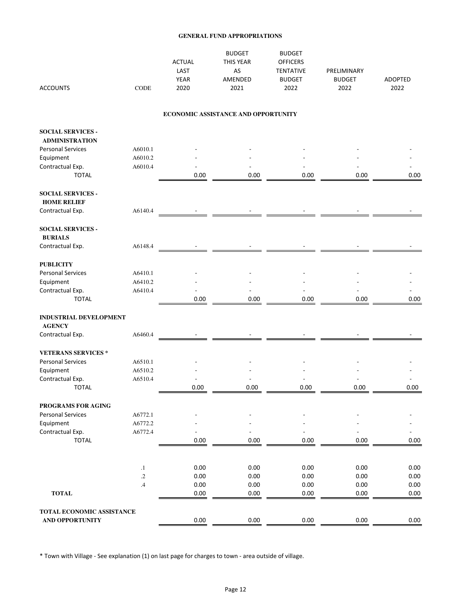| <b>ACCOUNTS</b>                                   | <b>CODE</b>   | <b>ACTUAL</b><br>LAST<br><b>YEAR</b><br>2020 | <b>BUDGET</b><br>THIS YEAR<br>AS<br>AMENDED<br>2021 | <b>BUDGET</b><br><b>OFFICERS</b><br><b>TENTATIVE</b><br><b>BUDGET</b><br>2022 | PRELIMINARY<br><b>BUDGET</b><br>2022 | ADOPTED<br>2022 |
|---------------------------------------------------|---------------|----------------------------------------------|-----------------------------------------------------|-------------------------------------------------------------------------------|--------------------------------------|-----------------|
|                                                   |               |                                              | ECONOMIC ASSISTANCE AND OPPORTUNITY                 |                                                                               |                                      |                 |
| <b>SOCIAL SERVICES -</b>                          |               |                                              |                                                     |                                                                               |                                      |                 |
| <b>ADMINISTRATION</b><br><b>Personal Services</b> | A6010.1       |                                              |                                                     |                                                                               |                                      |                 |
| Equipment                                         | A6010.2       |                                              |                                                     |                                                                               |                                      |                 |
| Contractual Exp.                                  | A6010.4       |                                              |                                                     |                                                                               |                                      |                 |
| <b>TOTAL</b>                                      |               | 0.00                                         | 0.00                                                | 0.00                                                                          | 0.00                                 | 0.00            |
| <b>SOCIAL SERVICES -</b>                          |               |                                              |                                                     |                                                                               |                                      |                 |
| <b>HOME RELIEF</b>                                |               |                                              |                                                     |                                                                               |                                      |                 |
| Contractual Exp.                                  | A6140.4       |                                              |                                                     |                                                                               |                                      |                 |
| <b>SOCIAL SERVICES -</b>                          |               |                                              |                                                     |                                                                               |                                      |                 |
| <b>BURIALS</b>                                    | A6148.4       |                                              |                                                     |                                                                               |                                      |                 |
| Contractual Exp.                                  |               |                                              |                                                     |                                                                               |                                      |                 |
| <b>PUBLICITY</b>                                  |               |                                              |                                                     |                                                                               |                                      |                 |
| <b>Personal Services</b>                          | A6410.1       |                                              |                                                     |                                                                               |                                      |                 |
| Equipment                                         | A6410.2       |                                              |                                                     |                                                                               |                                      |                 |
| Contractual Exp.                                  | A6410.4       |                                              |                                                     |                                                                               |                                      |                 |
| <b>TOTAL</b>                                      |               | 0.00                                         | 0.00                                                | 0.00                                                                          | 0.00                                 | 0.00            |
| <b>INDUSTRIAL DEVELOPMENT</b><br><b>AGENCY</b>    |               |                                              |                                                     |                                                                               |                                      |                 |
| Contractual Exp.                                  | A6460.4       |                                              |                                                     |                                                                               |                                      |                 |
|                                                   |               |                                              |                                                     |                                                                               |                                      |                 |
| <b>VETERANS SERVICES*</b>                         |               |                                              |                                                     |                                                                               |                                      |                 |
| <b>Personal Services</b>                          | A6510.1       |                                              |                                                     |                                                                               |                                      |                 |
| Equipment                                         | A6510.2       |                                              |                                                     |                                                                               |                                      |                 |
| Contractual Exp.                                  | A6510.4       |                                              |                                                     |                                                                               |                                      |                 |
| <b>TOTAL</b>                                      |               | 0.00                                         | 0.00                                                | 0.00                                                                          | 0.00                                 | 0.00            |
| PROGRAMS FOR AGING                                |               |                                              |                                                     |                                                                               |                                      |                 |
| <b>Personal Services</b>                          | A6772.1       |                                              |                                                     |                                                                               |                                      |                 |
| Equipment                                         | A6772.2       |                                              |                                                     |                                                                               |                                      |                 |
| Contractual Exp.                                  | A6772.4       |                                              |                                                     |                                                                               |                                      |                 |
| <b>TOTAL</b>                                      |               | 0.00                                         | 0.00                                                | 0.00                                                                          | 0.00                                 | 0.00            |
|                                                   | $\cdot$       | 0.00                                         | 0.00                                                | 0.00                                                                          | 0.00                                 | 0.00            |
|                                                   | $\cdot$ .2    | 0.00                                         | 0.00                                                | 0.00                                                                          | 0.00                                 | 0.00            |
|                                                   | $\mathcal{A}$ | 0.00                                         | 0.00                                                | 0.00                                                                          | 0.00                                 | 0.00            |
| <b>TOTAL</b>                                      |               | 0.00                                         | 0.00                                                | 0.00                                                                          | 0.00                                 | 0.00            |
| TOTAL ECONOMIC ASSISTANCE                         |               |                                              |                                                     |                                                                               |                                      |                 |
| <b>AND OPPORTUNITY</b>                            |               | $0.00\,$                                     | 0.00                                                | 0.00                                                                          | 0.00                                 | $0.00\,$        |
|                                                   |               |                                              |                                                     |                                                                               |                                      |                 |

\* Town with Village - See explanation (1) on last page for charges to town - area outside of village.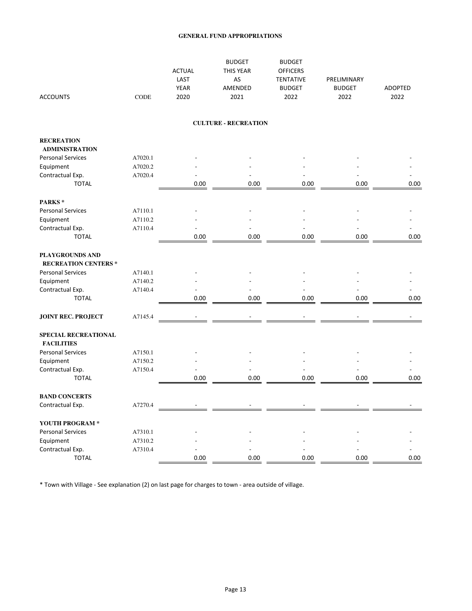| <b>ACCOUNTS</b>                                | <b>CODE</b> | <b>ACTUAL</b><br>LAST<br><b>YEAR</b><br>2020 | <b>BUDGET</b><br><b>THIS YEAR</b><br>AS<br>AMENDED<br>2021 | <b>BUDGET</b><br><b>OFFICERS</b><br><b>TENTATIVE</b><br><b>BUDGET</b><br>2022 | PRELIMINARY<br><b>BUDGET</b><br>2022 | ADOPTED<br>2022 |
|------------------------------------------------|-------------|----------------------------------------------|------------------------------------------------------------|-------------------------------------------------------------------------------|--------------------------------------|-----------------|
|                                                |             |                                              | <b>CULTURE - RECREATION</b>                                |                                                                               |                                      |                 |
| <b>RECREATION</b>                              |             |                                              |                                                            |                                                                               |                                      |                 |
| <b>ADMINISTRATION</b>                          |             |                                              |                                                            |                                                                               |                                      |                 |
| <b>Personal Services</b>                       | A7020.1     |                                              |                                                            |                                                                               |                                      |                 |
| Equipment                                      | A7020.2     |                                              |                                                            |                                                                               |                                      |                 |
| Contractual Exp.                               | A7020.4     |                                              |                                                            |                                                                               |                                      |                 |
| <b>TOTAL</b>                                   |             | 0.00                                         | 0.00                                                       | 0.00                                                                          | 0.00                                 | 0.00            |
| PARKS*                                         |             |                                              |                                                            |                                                                               |                                      |                 |
| <b>Personal Services</b>                       | A7110.1     |                                              |                                                            |                                                                               |                                      |                 |
| Equipment                                      | A7110.2     |                                              |                                                            |                                                                               |                                      |                 |
| Contractual Exp.                               | A7110.4     |                                              |                                                            |                                                                               |                                      |                 |
| <b>TOTAL</b>                                   |             | 0.00                                         | 0.00                                                       | 0.00                                                                          | 0.00                                 | 0.00            |
| PLAYGROUNDS AND<br><b>RECREATION CENTERS *</b> |             |                                              |                                                            |                                                                               |                                      |                 |
| <b>Personal Services</b>                       | A7140.1     |                                              |                                                            |                                                                               |                                      |                 |
| Equipment                                      | A7140.2     |                                              |                                                            |                                                                               |                                      |                 |
| Contractual Exp.                               | A7140.4     |                                              |                                                            |                                                                               |                                      |                 |
| <b>TOTAL</b>                                   |             | 0.00                                         | 0.00                                                       | 0.00                                                                          | 0.00                                 | 0.00            |
| <b>JOINT REC. PROJECT</b>                      | A7145.4     |                                              |                                                            |                                                                               |                                      |                 |
| SPECIAL RECREATIONAL<br><b>FACILITIES</b>      |             |                                              |                                                            |                                                                               |                                      |                 |
| <b>Personal Services</b>                       | A7150.1     |                                              |                                                            |                                                                               |                                      |                 |
| Equipment                                      | A7150.2     |                                              |                                                            |                                                                               |                                      |                 |
| Contractual Exp.                               | A7150.4     |                                              |                                                            |                                                                               |                                      |                 |
| <b>TOTAL</b>                                   |             | 0.00                                         | 0.00                                                       | 0.00                                                                          | 0.00                                 | 0.00            |
| <b>BAND CONCERTS</b>                           |             |                                              |                                                            |                                                                               |                                      |                 |
| Contractual Exp.                               | A7270.4     |                                              |                                                            |                                                                               |                                      |                 |
| YOUTH PROGRAM *                                |             |                                              |                                                            |                                                                               |                                      |                 |
| <b>Personal Services</b>                       | A7310.1     |                                              |                                                            |                                                                               |                                      |                 |
| Equipment                                      | A7310.2     |                                              |                                                            |                                                                               |                                      |                 |
| Contractual Exp.                               | A7310.4     |                                              |                                                            |                                                                               |                                      |                 |
| <b>TOTAL</b>                                   |             | 0.00                                         | 0.00                                                       | 0.00                                                                          | 0.00                                 | 0.00            |

\* Town with Village - See explanation (2) on last page for charges to town - area outside of village.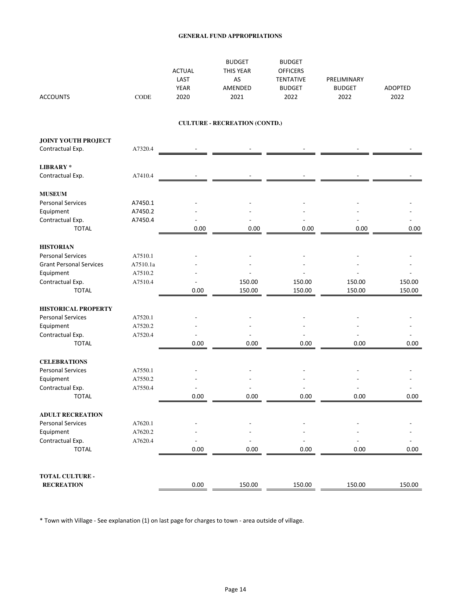| <b>ACCOUNTS</b>                | CODE     | <b>ACTUAL</b><br>LAST<br><b>YEAR</b><br>2020 | <b>BUDGET</b><br>THIS YEAR<br>AS<br>AMENDED<br>2021 | <b>BUDGET</b><br><b>OFFICERS</b><br><b>TENTATIVE</b><br><b>BUDGET</b><br>2022 | PRELIMINARY<br><b>BUDGET</b><br>2022 | ADOPTED<br>2022 |
|--------------------------------|----------|----------------------------------------------|-----------------------------------------------------|-------------------------------------------------------------------------------|--------------------------------------|-----------------|
|                                |          |                                              | <b>CULTURE - RECREATION (CONTD.)</b>                |                                                                               |                                      |                 |
| <b>JOINT YOUTH PROJECT</b>     |          |                                              |                                                     |                                                                               |                                      |                 |
| Contractual Exp.               | A7320.4  |                                              |                                                     |                                                                               |                                      |                 |
| <b>LIBRARY*</b>                |          |                                              |                                                     |                                                                               |                                      |                 |
| Contractual Exp.               | A7410.4  |                                              |                                                     |                                                                               |                                      |                 |
| <b>MUSEUM</b>                  |          |                                              |                                                     |                                                                               |                                      |                 |
| <b>Personal Services</b>       | A7450.1  |                                              |                                                     |                                                                               |                                      |                 |
| Equipment                      | A7450.2  |                                              |                                                     |                                                                               |                                      |                 |
| Contractual Exp.               | A7450.4  |                                              |                                                     |                                                                               |                                      |                 |
| <b>TOTAL</b>                   |          | 0.00                                         | 0.00                                                | 0.00                                                                          | 0.00                                 | 0.00            |
| <b>HISTORIAN</b>               |          |                                              |                                                     |                                                                               |                                      |                 |
| <b>Personal Services</b>       | A7510.1  |                                              |                                                     |                                                                               |                                      |                 |
| <b>Grant Personal Services</b> | A7510.1a |                                              |                                                     |                                                                               |                                      |                 |
| Equipment                      | A7510.2  |                                              |                                                     |                                                                               |                                      |                 |
| Contractual Exp.               | A7510.4  |                                              | 150.00                                              | 150.00                                                                        | 150.00                               | 150.00          |
| <b>TOTAL</b>                   |          | 0.00                                         | 150.00                                              | 150.00                                                                        | 150.00                               | 150.00          |
| <b>HISTORICAL PROPERTY</b>     |          |                                              |                                                     |                                                                               |                                      |                 |
| <b>Personal Services</b>       | A7520.1  |                                              |                                                     |                                                                               |                                      |                 |
| Equipment                      | A7520.2  |                                              |                                                     |                                                                               |                                      |                 |
| Contractual Exp.               | A7520.4  |                                              |                                                     |                                                                               |                                      |                 |
| <b>TOTAL</b>                   |          | 0.00                                         | 0.00                                                | 0.00                                                                          | 0.00                                 | 0.00            |
| <b>CELEBRATIONS</b>            |          |                                              |                                                     |                                                                               |                                      |                 |
| <b>Personal Services</b>       | A7550.1  |                                              |                                                     |                                                                               |                                      |                 |
| Equipment                      | A7550.2  |                                              |                                                     |                                                                               |                                      |                 |
| Contractual Exp.               | A7550.4  |                                              |                                                     |                                                                               |                                      |                 |
| <b>TOTAL</b>                   |          | 0.00                                         | 0.00                                                | 0.00                                                                          | 0.00                                 | 0.00            |
| <b>ADULT RECREATION</b>        |          |                                              |                                                     |                                                                               |                                      |                 |
| <b>Personal Services</b>       | A7620.1  |                                              |                                                     |                                                                               |                                      |                 |
| Equipment                      | A7620.2  |                                              |                                                     |                                                                               |                                      |                 |
| Contractual Exp.               | A7620.4  |                                              |                                                     |                                                                               |                                      |                 |
| <b>TOTAL</b>                   |          | 0.00                                         | 0.00                                                | 0.00                                                                          | 0.00                                 | 0.00            |
| TOTAL CULTURE -                |          |                                              |                                                     |                                                                               |                                      |                 |
| <b>RECREATION</b>              |          | 0.00                                         | 150.00                                              | 150.00                                                                        | 150.00                               | 150.00          |

\* Town with Village - See explanation (1) on last page for charges to town - area outside of village.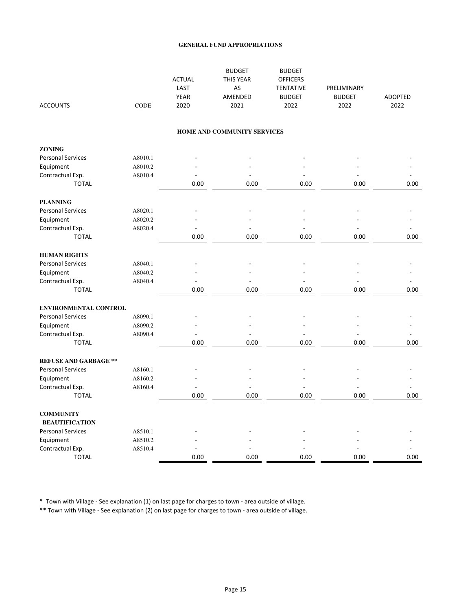| <b>ACCOUNTS</b>              | <b>CODE</b> | <b>ACTUAL</b><br>LAST<br><b>YEAR</b><br>2020 | <b>BUDGET</b><br><b>THIS YEAR</b><br>AS<br>AMENDED<br>2021 | <b>BUDGET</b><br><b>OFFICERS</b><br><b>TENTATIVE</b><br><b>BUDGET</b><br>2022 | PRELIMINARY<br><b>BUDGET</b><br>2022 | ADOPTED<br>2022 |
|------------------------------|-------------|----------------------------------------------|------------------------------------------------------------|-------------------------------------------------------------------------------|--------------------------------------|-----------------|
|                              |             |                                              | HOME AND COMMUNITY SERVICES                                |                                                                               |                                      |                 |
|                              |             |                                              |                                                            |                                                                               |                                      |                 |
| <b>ZONING</b>                |             |                                              |                                                            |                                                                               |                                      |                 |
| <b>Personal Services</b>     | A8010.1     |                                              |                                                            |                                                                               |                                      |                 |
| Equipment                    | A8010.2     |                                              |                                                            |                                                                               |                                      |                 |
| Contractual Exp.             | A8010.4     |                                              |                                                            |                                                                               |                                      |                 |
| <b>TOTAL</b>                 |             | 0.00                                         | 0.00                                                       | 0.00                                                                          | 0.00                                 | 0.00            |
| <b>PLANNING</b>              |             |                                              |                                                            |                                                                               |                                      |                 |
| <b>Personal Services</b>     | A8020.1     |                                              |                                                            |                                                                               |                                      |                 |
| Equipment                    | A8020.2     |                                              |                                                            |                                                                               |                                      |                 |
| Contractual Exp.             | A8020.4     |                                              | L                                                          |                                                                               |                                      |                 |
| <b>TOTAL</b>                 |             | 0.00                                         | 0.00                                                       | 0.00                                                                          | 0.00                                 | 0.00            |
| <b>HUMAN RIGHTS</b>          |             |                                              |                                                            |                                                                               |                                      |                 |
| <b>Personal Services</b>     | A8040.1     |                                              |                                                            |                                                                               |                                      |                 |
| Equipment                    | A8040.2     |                                              |                                                            |                                                                               |                                      |                 |
| Contractual Exp.             | A8040.4     |                                              | $\overline{a}$                                             |                                                                               | L,                                   |                 |
| <b>TOTAL</b>                 |             | 0.00                                         | 0.00                                                       | 0.00                                                                          | 0.00                                 | 0.00            |
| ENVIRONMENTAL CONTROL        |             |                                              |                                                            |                                                                               |                                      |                 |
| <b>Personal Services</b>     | A8090.1     |                                              |                                                            |                                                                               |                                      |                 |
| Equipment                    | A8090.2     |                                              |                                                            |                                                                               |                                      |                 |
| Contractual Exp.             | A8090.4     |                                              | $\overline{a}$                                             | L,                                                                            | L,                                   |                 |
| <b>TOTAL</b>                 |             | 0.00                                         | 0.00                                                       | 0.00                                                                          | 0.00                                 | 0.00            |
| <b>REFUSE AND GARBAGE **</b> |             |                                              |                                                            |                                                                               |                                      |                 |
| <b>Personal Services</b>     | A8160.1     |                                              |                                                            |                                                                               |                                      |                 |
| Equipment                    | A8160.2     |                                              |                                                            |                                                                               |                                      |                 |
| Contractual Exp.             | A8160.4     | $\overline{\phantom{a}}$                     | L,                                                         | Ĭ.                                                                            | Ĭ.                                   |                 |
| <b>TOTAL</b>                 |             | 0.00                                         | 0.00                                                       | 0.00                                                                          | 0.00                                 | 0.00            |
|                              |             |                                              |                                                            |                                                                               |                                      |                 |
| <b>COMMUNITY</b>             |             |                                              |                                                            |                                                                               |                                      |                 |
| <b>BEAUTIFICATION</b>        |             |                                              |                                                            |                                                                               |                                      |                 |
| <b>Personal Services</b>     | A8510.1     |                                              |                                                            |                                                                               |                                      |                 |
| Equipment                    | A8510.2     |                                              |                                                            |                                                                               |                                      |                 |
| Contractual Exp.             | A8510.4     |                                              |                                                            |                                                                               |                                      |                 |
| <b>TOTAL</b>                 |             | 0.00                                         | 0.00                                                       | 0.00                                                                          | 0.00                                 | 0.00            |

\* Town with Village - See explanation (1) on last page for charges to town - area outside of village.

\*\* Town with Village - See explanation (2) on last page for charges to town - area outside of village.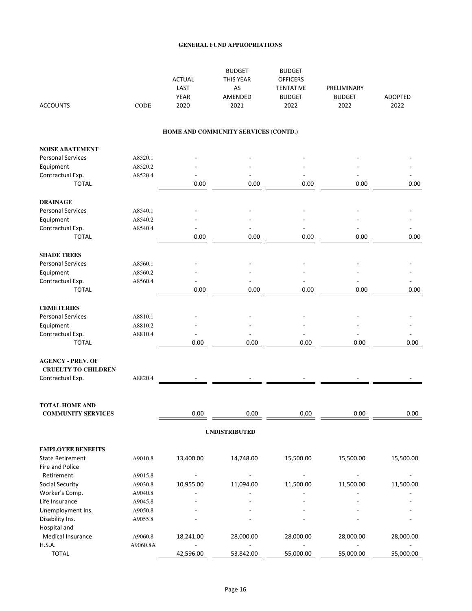| <b>ACCOUNTS</b>                                        | <b>CODE</b> | <b>ACTUAL</b><br>LAST<br><b>YEAR</b><br>2020 | <b>BUDGET</b><br>THIS YEAR<br>AS<br>AMENDED<br>2021 | <b>BUDGET</b><br><b>OFFICERS</b><br><b>TENTATIVE</b><br><b>BUDGET</b><br>2022 | PRELIMINARY<br><b>BUDGET</b><br>2022 | <b>ADOPTED</b><br>2022 |
|--------------------------------------------------------|-------------|----------------------------------------------|-----------------------------------------------------|-------------------------------------------------------------------------------|--------------------------------------|------------------------|
|                                                        |             |                                              | HOME AND COMMUNITY SERVICES (CONTD.)                |                                                                               |                                      |                        |
| <b>NOISE ABATEMENT</b>                                 |             |                                              |                                                     |                                                                               |                                      |                        |
| <b>Personal Services</b>                               | A8520.1     |                                              |                                                     |                                                                               |                                      |                        |
| Equipment                                              | A8520.2     |                                              |                                                     |                                                                               |                                      |                        |
| Contractual Exp.                                       | A8520.4     |                                              |                                                     |                                                                               |                                      |                        |
| <b>TOTAL</b>                                           |             | 0.00                                         | 0.00                                                | 0.00                                                                          | 0.00                                 | 0.00                   |
| <b>DRAINAGE</b>                                        |             |                                              |                                                     |                                                                               |                                      |                        |
| <b>Personal Services</b>                               | A8540.1     |                                              |                                                     |                                                                               |                                      |                        |
| Equipment                                              | A8540.2     |                                              |                                                     |                                                                               |                                      |                        |
| Contractual Exp.                                       | A8540.4     |                                              |                                                     |                                                                               |                                      |                        |
| <b>TOTAL</b>                                           |             | 0.00                                         | 0.00                                                | 0.00                                                                          | 0.00                                 | 0.00                   |
| <b>SHADE TREES</b>                                     |             |                                              |                                                     |                                                                               |                                      |                        |
| <b>Personal Services</b>                               | A8560.1     |                                              |                                                     |                                                                               |                                      |                        |
| Equipment                                              | A8560.2     |                                              |                                                     |                                                                               |                                      |                        |
| Contractual Exp.                                       | A8560.4     |                                              |                                                     |                                                                               |                                      |                        |
| <b>TOTAL</b>                                           |             | 0.00                                         | 0.00                                                | 0.00                                                                          | 0.00                                 | 0.00                   |
| <b>CEMETERIES</b>                                      |             |                                              |                                                     |                                                                               |                                      |                        |
| <b>Personal Services</b>                               | A8810.1     |                                              |                                                     |                                                                               |                                      |                        |
| Equipment                                              | A8810.2     |                                              |                                                     |                                                                               |                                      |                        |
| Contractual Exp.                                       | A8810.4     |                                              |                                                     |                                                                               |                                      |                        |
| <b>TOTAL</b>                                           |             | 0.00                                         | 0.00                                                | 0.00                                                                          | 0.00                                 | 0.00                   |
| <b>AGENCY - PREV. OF</b><br><b>CRUELTY TO CHILDREN</b> |             |                                              |                                                     |                                                                               |                                      |                        |
| Contractual Exp.                                       | A8820.4     |                                              |                                                     |                                                                               |                                      |                        |
| <b>TOTAL HOME AND</b>                                  |             |                                              |                                                     |                                                                               |                                      |                        |
| <b>COMMUNITY SERVICES</b>                              |             | 0.00                                         | 0.00                                                | 0.00                                                                          | 0.00                                 | 0.00                   |
|                                                        |             |                                              | <b>UNDISTRIBUTED</b>                                |                                                                               |                                      |                        |
| <b>EMPLOYEE BENEFITS</b>                               |             |                                              |                                                     |                                                                               |                                      |                        |
| <b>State Retirement</b>                                | A9010.8     | 13,400.00                                    | 14,748.00                                           | 15,500.00                                                                     | 15,500.00                            | 15,500.00              |
| Fire and Police                                        |             |                                              |                                                     |                                                                               |                                      |                        |
| Retirement                                             | A9015.8     |                                              |                                                     |                                                                               |                                      |                        |
| <b>Social Security</b>                                 | A9030.8     | 10,955.00                                    | 11,094.00                                           | 11,500.00                                                                     | 11,500.00                            | 11,500.00              |
| Worker's Comp.                                         | A9040.8     |                                              |                                                     |                                                                               |                                      |                        |
| Life Insurance                                         | A9045.8     |                                              |                                                     |                                                                               |                                      |                        |
| Unemployment Ins.                                      | A9050.8     |                                              |                                                     |                                                                               |                                      |                        |
| Disability Ins.                                        | A9055.8     |                                              |                                                     |                                                                               |                                      |                        |
| Hospital and                                           |             |                                              |                                                     |                                                                               |                                      |                        |
| Medical Insurance                                      | A9060.8     | 18,241.00                                    | 28,000.00                                           | 28,000.00                                                                     | 28,000.00                            | 28,000.00              |
| <b>H.S.A.</b>                                          | A9060.8A    | $\overline{a}$                               | $\blacksquare$                                      | $\overline{a}$                                                                | $\overline{a}$                       |                        |
| <b>TOTAL</b>                                           |             | 42,596.00                                    | 53,842.00                                           | 55,000.00                                                                     | 55,000.00                            | 55,000.00              |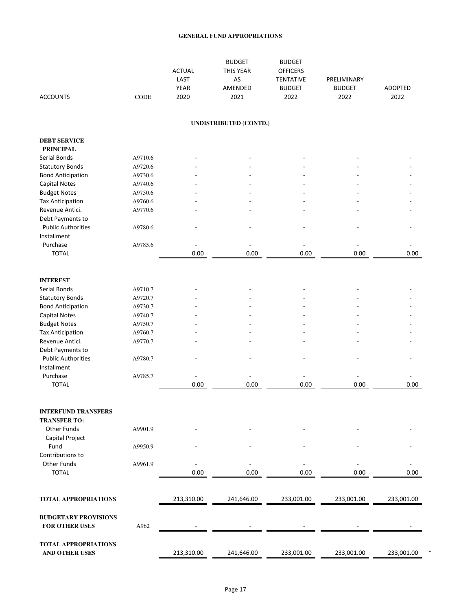| <b>ACCOUNTS</b>                                      | CODE    | <b>ACTUAL</b><br>LAST<br>YEAR<br>2020 | <b>BUDGET</b><br>THIS YEAR<br>AS<br>AMENDED<br>2021 | <b>BUDGET</b><br><b>OFFICERS</b><br><b>TENTATIVE</b><br><b>BUDGET</b><br>2022 | PRELIMINARY<br><b>BUDGET</b><br>2022 | ADOPTED<br>2022 |
|------------------------------------------------------|---------|---------------------------------------|-----------------------------------------------------|-------------------------------------------------------------------------------|--------------------------------------|-----------------|
|                                                      |         |                                       | UNDISTRIBUTED (CONTD.)                              |                                                                               |                                      |                 |
| <b>DEBT SERVICE</b>                                  |         |                                       |                                                     |                                                                               |                                      |                 |
| <b>PRINCIPAL</b>                                     | A9710.6 |                                       |                                                     |                                                                               |                                      |                 |
| Serial Bonds                                         | A9720.6 |                                       |                                                     |                                                                               |                                      |                 |
| <b>Statutory Bonds</b>                               | A9730.6 |                                       |                                                     |                                                                               |                                      |                 |
| <b>Bond Anticipation</b>                             | A9740.6 |                                       |                                                     |                                                                               |                                      |                 |
| <b>Capital Notes</b><br><b>Budget Notes</b>          | A9750.6 |                                       |                                                     |                                                                               |                                      |                 |
| <b>Tax Anticipation</b>                              | A9760.6 |                                       |                                                     |                                                                               |                                      |                 |
| Revenue Antici.                                      | A9770.6 |                                       |                                                     |                                                                               |                                      |                 |
| Debt Payments to                                     |         |                                       |                                                     |                                                                               |                                      |                 |
| <b>Public Authorities</b>                            | A9780.6 |                                       |                                                     |                                                                               |                                      |                 |
| Installment                                          |         |                                       |                                                     |                                                                               |                                      |                 |
| Purchase                                             | A9785.6 |                                       |                                                     |                                                                               |                                      |                 |
| <b>TOTAL</b>                                         |         | 0.00                                  | 0.00                                                | 0.00                                                                          | 0.00                                 | 0.00            |
|                                                      |         |                                       |                                                     |                                                                               |                                      |                 |
| <b>INTEREST</b>                                      |         |                                       |                                                     |                                                                               |                                      |                 |
| Serial Bonds                                         | A9710.7 |                                       |                                                     |                                                                               |                                      |                 |
| <b>Statutory Bonds</b>                               | A9720.7 |                                       |                                                     |                                                                               |                                      |                 |
| <b>Bond Anticipation</b>                             | A9730.7 |                                       |                                                     |                                                                               |                                      |                 |
| <b>Capital Notes</b>                                 | A9740.7 |                                       |                                                     |                                                                               |                                      |                 |
| <b>Budget Notes</b>                                  | A9750.7 |                                       |                                                     |                                                                               |                                      |                 |
| <b>Tax Anticipation</b>                              | A9760.7 |                                       |                                                     |                                                                               |                                      |                 |
| Revenue Antici.                                      | A9770.7 |                                       |                                                     |                                                                               |                                      |                 |
| Debt Payments to                                     |         |                                       |                                                     |                                                                               |                                      |                 |
| <b>Public Authorities</b><br>Installment             | A9780.7 |                                       |                                                     |                                                                               |                                      |                 |
| Purchase                                             | A9785.7 |                                       |                                                     |                                                                               |                                      |                 |
| <b>TOTAL</b>                                         |         | 0.00                                  | 0.00                                                | 0.00                                                                          | 0.00                                 | 0.00            |
| <b>INTERFUND TRANSFERS</b><br><b>TRANSFER TO:</b>    |         |                                       |                                                     |                                                                               |                                      |                 |
| Other Funds<br>Capital Project                       | A9901.9 |                                       |                                                     |                                                                               |                                      |                 |
| Fund                                                 | A9950.9 |                                       |                                                     |                                                                               |                                      |                 |
| Contributions to                                     |         |                                       |                                                     |                                                                               |                                      |                 |
| Other Funds                                          | A9961.9 |                                       |                                                     |                                                                               |                                      |                 |
| <b>TOTAL</b>                                         |         | 0.00                                  | 0.00                                                | 0.00                                                                          | 0.00                                 | 0.00            |
| <b>TOTAL APPROPRIATIONS</b>                          |         | 213,310.00                            | 241,646.00                                          | 233,001.00                                                                    | 233,001.00                           | 233,001.00      |
| <b>BUDGETARY PROVISIONS</b>                          |         |                                       |                                                     |                                                                               |                                      |                 |
| <b>FOR OTHER USES</b>                                | A962    |                                       |                                                     |                                                                               |                                      |                 |
| <b>TOTAL APPROPRIATIONS</b><br><b>AND OTHER USES</b> |         | 213,310.00                            | 241,646.00                                          | 233,001.00                                                                    | 233,001.00                           | 233,001.00      |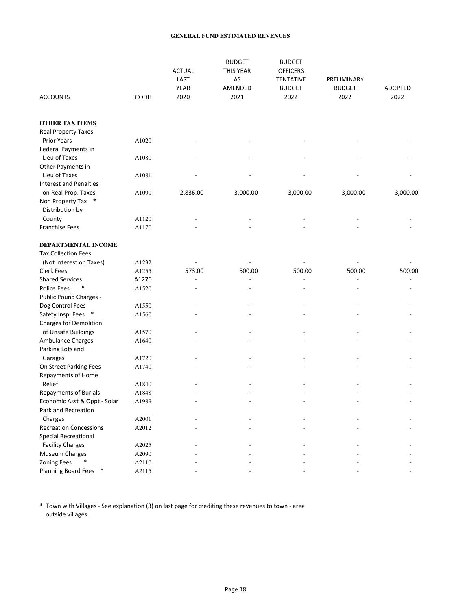#### **GENERAL FUND ESTIMATED REVENUES**

| <b>ACCOUNTS</b>               | CODE  | <b>ACTUAL</b><br>LAST<br>YEAR<br>2020 | <b>BUDGET</b><br>THIS YEAR<br>AS<br>AMENDED<br>2021 | <b>BUDGET</b><br><b>OFFICERS</b><br><b>TENTATIVE</b><br><b>BUDGET</b><br>2022 | PRELIMINARY<br><b>BUDGET</b><br>2022 | <b>ADOPTED</b><br>2022 |
|-------------------------------|-------|---------------------------------------|-----------------------------------------------------|-------------------------------------------------------------------------------|--------------------------------------|------------------------|
| <b>OTHER TAX ITEMS</b>        |       |                                       |                                                     |                                                                               |                                      |                        |
| <b>Real Property Taxes</b>    |       |                                       |                                                     |                                                                               |                                      |                        |
| <b>Prior Years</b>            | A1020 |                                       |                                                     |                                                                               |                                      |                        |
| Federal Payments in           |       |                                       |                                                     |                                                                               |                                      |                        |
| Lieu of Taxes                 | A1080 |                                       |                                                     |                                                                               |                                      |                        |
| Other Payments in             |       |                                       |                                                     |                                                                               |                                      |                        |
| Lieu of Taxes                 | A1081 |                                       |                                                     |                                                                               |                                      |                        |
| <b>Interest and Penalties</b> |       |                                       |                                                     |                                                                               |                                      |                        |
| on Real Prop. Taxes           | A1090 | 2,836.00                              | 3,000.00                                            | 3,000.00                                                                      | 3,000.00                             | 3,000.00               |
| Non Property Tax<br>$\ast$    |       |                                       |                                                     |                                                                               |                                      |                        |
| Distribution by               |       |                                       |                                                     |                                                                               |                                      |                        |
| County                        | A1120 |                                       |                                                     |                                                                               |                                      |                        |
| <b>Franchise Fees</b>         | A1170 |                                       |                                                     |                                                                               |                                      |                        |
| DEPARTMENTAL INCOME           |       |                                       |                                                     |                                                                               |                                      |                        |
| <b>Tax Collection Fees</b>    |       |                                       |                                                     |                                                                               |                                      |                        |
| (Not Interest on Taxes)       | A1232 |                                       |                                                     |                                                                               |                                      |                        |
| <b>Clerk Fees</b>             | A1255 | 573.00                                | 500.00                                              | 500.00                                                                        | 500.00                               | 500.00                 |
| <b>Shared Services</b>        | A1270 | $\overline{a}$                        |                                                     |                                                                               | $\overline{a}$                       |                        |
| Police Fees                   | A1520 | $\overline{a}$                        |                                                     |                                                                               | $\overline{a}$                       |                        |
| Public Pound Charges -        |       |                                       |                                                     |                                                                               |                                      |                        |
| Dog Control Fees              | A1550 |                                       |                                                     |                                                                               |                                      |                        |
| Safety Insp. Fees *           | A1560 |                                       |                                                     |                                                                               |                                      |                        |
| Charges for Demolition        |       |                                       |                                                     |                                                                               |                                      |                        |
| of Unsafe Buildings           | A1570 |                                       |                                                     |                                                                               |                                      |                        |
| Ambulance Charges             | A1640 |                                       |                                                     |                                                                               |                                      |                        |
| Parking Lots and              |       |                                       |                                                     |                                                                               |                                      |                        |
| Garages                       | A1720 |                                       |                                                     |                                                                               |                                      |                        |
| On Street Parking Fees        | A1740 |                                       |                                                     |                                                                               |                                      |                        |
| Repayments of Home            |       |                                       |                                                     |                                                                               |                                      |                        |
| Relief                        | A1840 |                                       |                                                     |                                                                               |                                      |                        |
| <b>Repayments of Burials</b>  | A1848 |                                       |                                                     |                                                                               |                                      |                        |
| Economic Asst & Oppt - Solar  | A1989 |                                       |                                                     |                                                                               |                                      |                        |
| Park and Recreation           |       |                                       |                                                     |                                                                               |                                      |                        |
| Charges                       | A2001 |                                       |                                                     |                                                                               |                                      |                        |
| <b>Recreation Concessions</b> | A2012 |                                       |                                                     |                                                                               |                                      |                        |
| <b>Special Recreational</b>   |       |                                       |                                                     |                                                                               |                                      |                        |
| <b>Facility Charges</b>       | A2025 |                                       |                                                     |                                                                               |                                      |                        |
| Museum Charges                | A2090 |                                       |                                                     |                                                                               |                                      |                        |
| <b>Zoning Fees</b>            | A2110 |                                       |                                                     |                                                                               |                                      |                        |
| Planning Board Fees *         | A2115 |                                       |                                                     |                                                                               |                                      |                        |

\* Town with Villages - See explanation (3) on last page for crediting these revenues to town - area outside villages.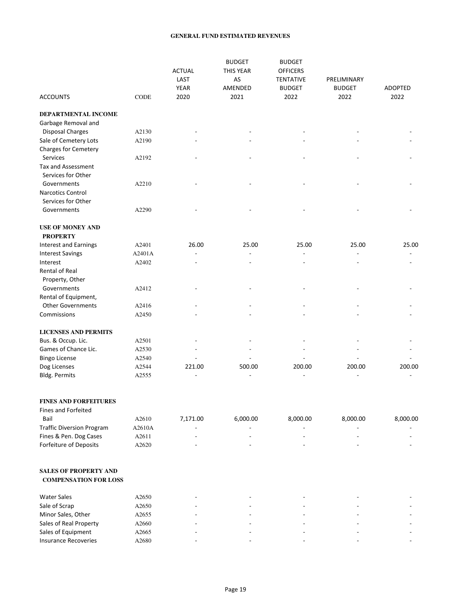#### **GENERAL FUND ESTIMATED REVENUES**

|                              |             | <b>ACTUAL</b><br>LAST<br><b>YEAR</b> | <b>BUDGET</b><br>THIS YEAR<br>AS<br>AMENDED | <b>BUDGET</b><br><b>OFFICERS</b><br><b>TENTATIVE</b><br><b>BUDGET</b> | PRELIMINARY<br><b>BUDGET</b> | <b>ADOPTED</b> |
|------------------------------|-------------|--------------------------------------|---------------------------------------------|-----------------------------------------------------------------------|------------------------------|----------------|
| <b>ACCOUNTS</b>              | <b>CODE</b> | 2020                                 | 2021                                        | 2022                                                                  | 2022                         | 2022           |
| DEPARTMENTAL INCOME          |             |                                      |                                             |                                                                       |                              |                |
| Garbage Removal and          |             |                                      |                                             |                                                                       |                              |                |
| <b>Disposal Charges</b>      | A2130       |                                      |                                             |                                                                       |                              |                |
| Sale of Cemetery Lots        | A2190       |                                      |                                             |                                                                       |                              |                |
| Charges for Cemetery         |             |                                      |                                             |                                                                       |                              |                |
| Services                     | A2192       |                                      |                                             |                                                                       |                              |                |
| Tax and Assessment           |             |                                      |                                             |                                                                       |                              |                |
| Services for Other           |             |                                      |                                             |                                                                       |                              |                |
| Governments                  | A2210       |                                      |                                             |                                                                       |                              |                |
| Narcotics Control            |             |                                      |                                             |                                                                       |                              |                |
| Services for Other           |             |                                      |                                             |                                                                       |                              |                |
| Governments                  | A2290       |                                      |                                             |                                                                       |                              |                |
| <b>USE OF MONEY AND</b>      |             |                                      |                                             |                                                                       |                              |                |
| <b>PROPERTY</b>              |             |                                      |                                             |                                                                       |                              |                |
| <b>Interest and Earnings</b> | A2401       | 26.00                                | 25.00                                       | 25.00                                                                 | 25.00                        | 25.00          |
| <b>Interest Savings</b>      | A2401A      |                                      |                                             |                                                                       |                              |                |
| Interest                     | A2402       |                                      |                                             |                                                                       |                              |                |
| Rental of Real               |             |                                      |                                             |                                                                       |                              |                |
| Property, Other              |             |                                      |                                             |                                                                       |                              |                |
| Governments                  | A2412       |                                      |                                             |                                                                       |                              |                |
| Rental of Equipment,         |             |                                      |                                             |                                                                       |                              |                |
| <b>Other Governments</b>     | A2416       |                                      |                                             |                                                                       |                              |                |
| Commissions                  | A2450       |                                      |                                             |                                                                       |                              |                |
| <b>LICENSES AND PERMITS</b>  |             |                                      |                                             |                                                                       |                              |                |
| Bus. & Occup. Lic.           | A2501       |                                      |                                             |                                                                       |                              |                |
| Games of Chance Lic.         | A2530       |                                      |                                             |                                                                       |                              |                |
| <b>Bingo License</b>         | A2540       |                                      |                                             |                                                                       |                              |                |
| Dog Licenses                 | A2544       | 221.00                               | 500.00                                      | 200.00                                                                | 200.00                       | 200.00         |
| Bldg. Permits                | A2555       | $\overline{a}$                       | $\blacksquare$                              | L,                                                                    | $\blacksquare$               | ÷,             |
|                              |             |                                      |                                             |                                                                       |                              |                |

### **FINES AND FORFEITURES**

| Fines and Forfeited              |        |          |          |          |          |          |
|----------------------------------|--------|----------|----------|----------|----------|----------|
| Bail                             | A2610  | 7.171.00 | 6.000.00 | 8.000.00 | 8.000.00 | 8.000.00 |
| <b>Traffic Diversion Program</b> | A2610A | $\sim$   |          | -        | -        |          |
| Fines & Pen. Dog Cases           | A2611  | -        | -        | -        | -        |          |
| Forfeiture of Deposits           | A2620  |          | -        |          | -        |          |

#### **SALES OF PROPERTY AND COMPENSATION FOR LOSS**

| <b>Water Sales</b>          | A2650 | - | $\overline{\phantom{0}}$ |                          |
|-----------------------------|-------|---|--------------------------|--------------------------|
|                             |       |   |                          |                          |
| Sale of Scrap               | A2650 |   | -                        |                          |
| Minor Sales, Other          | A2655 |   | -                        | $\overline{\phantom{0}}$ |
| Sales of Real Property      | A2660 |   | -                        |                          |
| Sales of Equipment          | A2665 |   | $\overline{\phantom{a}}$ |                          |
| <b>Insurance Recoveries</b> | A2680 |   | ۰                        |                          |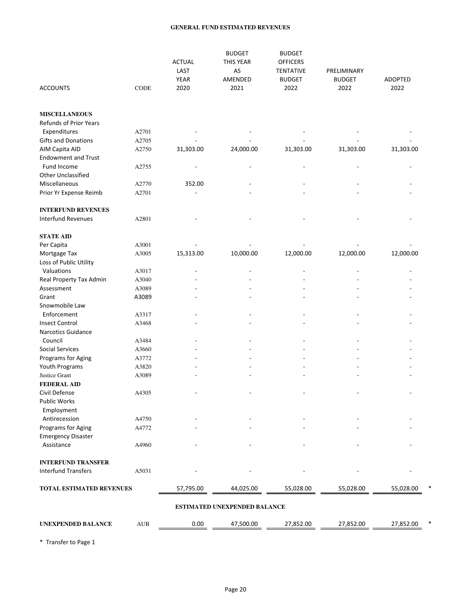#### **GENERAL FUND ESTIMATED REVENUES**

| <b>ACCOUNTS</b>                                       | CODE  | <b>ACTUAL</b><br>LAST<br><b>YEAR</b><br>2020 | <b>BUDGET</b><br>THIS YEAR<br>AS<br>AMENDED<br>2021 | <b>BUDGET</b><br><b>OFFICERS</b><br><b>TENTATIVE</b><br><b>BUDGET</b><br>2022 | PRELIMINARY<br><b>BUDGET</b><br>2022 | <b>ADOPTED</b><br>2022 |
|-------------------------------------------------------|-------|----------------------------------------------|-----------------------------------------------------|-------------------------------------------------------------------------------|--------------------------------------|------------------------|
|                                                       |       |                                              |                                                     |                                                                               |                                      |                        |
| <b>MISCELLANEOUS</b><br><b>Refunds of Prior Years</b> |       |                                              |                                                     |                                                                               |                                      |                        |
| Expenditures                                          | A2701 |                                              |                                                     |                                                                               |                                      |                        |
| Gifts and Donations                                   | A2705 |                                              |                                                     |                                                                               |                                      |                        |
| AIM Capita AID                                        | A2750 | 31,303.00                                    | 24,000.00                                           | 31,303.00                                                                     | 31,303.00                            | 31,303.00              |
| <b>Endowment and Trust</b>                            |       |                                              |                                                     |                                                                               |                                      |                        |
| Fund Income                                           | A2755 |                                              |                                                     |                                                                               |                                      |                        |
| <b>Other Unclassified</b>                             |       |                                              |                                                     |                                                                               |                                      |                        |
| Miscellaneous                                         | A2770 | 352.00                                       |                                                     |                                                                               |                                      |                        |
| Prior Yr Expense Reimb                                | A2701 |                                              |                                                     |                                                                               |                                      |                        |
| <b>INTERFUND REVENUES</b>                             |       |                                              |                                                     |                                                                               |                                      |                        |
| <b>Interfund Revenues</b>                             | A2801 |                                              |                                                     |                                                                               |                                      |                        |
|                                                       |       |                                              |                                                     |                                                                               |                                      |                        |
| <b>STATE AID</b>                                      |       |                                              |                                                     |                                                                               |                                      |                        |
| Per Capita                                            | A3001 |                                              |                                                     |                                                                               |                                      |                        |
| Mortgage Tax                                          | A3005 | 15,313.00                                    | 10,000.00                                           | 12,000.00                                                                     | 12,000.00                            | 12,000.00              |
| Loss of Public Utility                                |       |                                              |                                                     |                                                                               |                                      |                        |
| Valuations                                            | A3017 |                                              |                                                     |                                                                               |                                      |                        |
| Real Property Tax Admin                               | A3040 |                                              |                                                     |                                                                               |                                      |                        |
| Assessment                                            | A3089 |                                              |                                                     |                                                                               |                                      |                        |
| Grant                                                 | A3089 |                                              |                                                     |                                                                               |                                      |                        |
| Snowmobile Law                                        |       |                                              |                                                     |                                                                               |                                      |                        |
| Enforcement                                           | A3317 |                                              |                                                     |                                                                               |                                      |                        |
| <b>Insect Control</b><br><b>Narcotics Guidance</b>    | A3468 |                                              |                                                     |                                                                               |                                      |                        |
| Council                                               | A3484 |                                              |                                                     |                                                                               |                                      |                        |
| <b>Social Services</b>                                | A3660 |                                              |                                                     |                                                                               |                                      |                        |
| Programs for Aging                                    | A3772 |                                              |                                                     |                                                                               |                                      |                        |
| Youth Programs                                        | A3820 |                                              |                                                     |                                                                               |                                      |                        |
| Justice Grant                                         | A3089 |                                              |                                                     |                                                                               |                                      |                        |
| <b>FEDERAL AID</b>                                    |       |                                              |                                                     |                                                                               |                                      |                        |
| Civil Defense                                         | A4305 |                                              |                                                     |                                                                               |                                      |                        |
| Public Works                                          |       |                                              |                                                     |                                                                               |                                      |                        |
| Employment                                            |       |                                              |                                                     |                                                                               |                                      |                        |
| Antirecession                                         | A4750 |                                              |                                                     |                                                                               |                                      |                        |
| Programs for Aging                                    | A4772 |                                              |                                                     |                                                                               |                                      |                        |
| <b>Emergency Disaster</b>                             |       |                                              |                                                     |                                                                               |                                      |                        |
| Assistance                                            | A4960 |                                              |                                                     |                                                                               |                                      |                        |
| <b>INTERFUND TRANSFER</b>                             |       |                                              |                                                     |                                                                               |                                      |                        |
| <b>Interfund Transfers</b>                            | A5031 |                                              |                                                     |                                                                               |                                      |                        |
|                                                       |       | 57,795.00                                    |                                                     |                                                                               |                                      |                        |
| <b>TOTAL ESTIMATED REVENUES</b>                       |       |                                              | 44,025.00                                           | 55,028.00                                                                     | 55,028.00                            | 55,028.00              |
|                                                       |       |                                              | <b>ESTIMATED UNEXPENDED BALANCE</b>                 |                                                                               |                                      |                        |
| <b>UNEXPENDED BALANCE</b>                             | AUB   | 0.00                                         | 47,500.00                                           | 27,852.00                                                                     | 27,852.00                            | 27,852.00              |
|                                                       |       |                                              |                                                     |                                                                               |                                      |                        |

\* Transfer to Page 1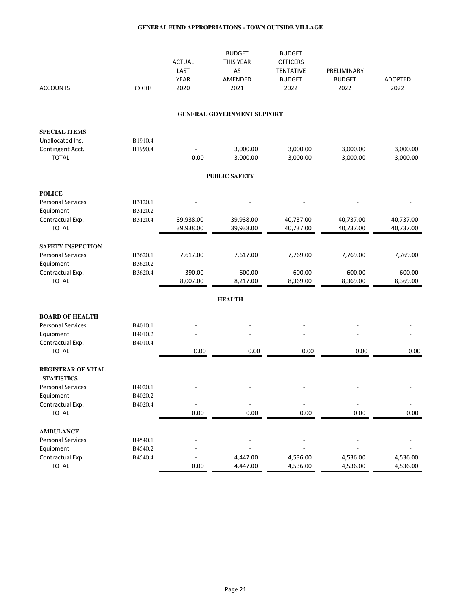|                           |             | <b>ACTUAL</b>  | <b>BUDGET</b><br>THIS YEAR        | <b>BUDGET</b><br><b>OFFICERS</b> |               |                |
|---------------------------|-------------|----------------|-----------------------------------|----------------------------------|---------------|----------------|
|                           |             | LAST           | AS                                | <b>TENTATIVE</b>                 | PRELIMINARY   |                |
|                           |             | <b>YEAR</b>    | AMENDED                           | <b>BUDGET</b>                    | <b>BUDGET</b> | <b>ADOPTED</b> |
| <b>ACCOUNTS</b>           | <b>CODE</b> | 2020           | 2021                              | 2022                             | 2022          | 2022           |
|                           |             |                |                                   |                                  |               |                |
|                           |             |                | <b>GENERAL GOVERNMENT SUPPORT</b> |                                  |               |                |
| <b>SPECIAL ITEMS</b>      |             |                |                                   |                                  |               |                |
| Unallocated Ins.          | B1910.4     |                |                                   |                                  |               |                |
| Contingent Acct.          | B1990.4     |                | 3,000.00                          | 3,000.00                         | 3,000.00      | 3,000.00       |
| <b>TOTAL</b>              |             | 0.00           | 3,000.00                          | 3,000.00                         | 3,000.00      | 3,000.00       |
|                           |             |                | <b>PUBLIC SAFETY</b>              |                                  |               |                |
| <b>POLICE</b>             |             |                |                                   |                                  |               |                |
| <b>Personal Services</b>  | B3120.1     |                |                                   |                                  |               |                |
| Equipment                 | B3120.2     |                |                                   |                                  |               |                |
| Contractual Exp.          | B3120.4     | 39,938.00      | 39,938.00                         | 40,737.00                        | 40,737.00     | 40,737.00      |
| <b>TOTAL</b>              |             | 39,938.00      | 39,938.00                         | 40,737.00                        | 40,737.00     | 40,737.00      |
| <b>SAFETY INSPECTION</b>  |             |                |                                   |                                  |               |                |
| <b>Personal Services</b>  | B3620.1     | 7,617.00       | 7,617.00                          | 7,769.00                         | 7,769.00      | 7,769.00       |
| Equipment                 | B3620.2     |                |                                   |                                  |               |                |
| Contractual Exp.          | B3620.4     | 390.00         | 600.00                            | 600.00                           | 600.00        | 600.00         |
| <b>TOTAL</b>              |             | 8,007.00       | 8,217.00                          | 8,369.00                         | 8,369.00      | 8,369.00       |
|                           |             |                | <b>HEALTH</b>                     |                                  |               |                |
| <b>BOARD OF HEALTH</b>    |             |                |                                   |                                  |               |                |
| <b>Personal Services</b>  | B4010.1     |                |                                   |                                  |               |                |
| Equipment                 | B4010.2     |                |                                   |                                  |               |                |
| Contractual Exp.          | B4010.4     | $\overline{a}$ |                                   |                                  |               |                |
| <b>TOTAL</b>              |             | 0.00           | 0.00                              | 0.00                             | 0.00          | 0.00           |
| <b>REGISTRAR OF VITAL</b> |             |                |                                   |                                  |               |                |
| <b>STATISTICS</b>         |             |                |                                   |                                  |               |                |
| <b>Personal Services</b>  | B4020.1     |                |                                   |                                  |               |                |
| Equipment                 | B4020.2     |                |                                   |                                  |               |                |
| Contractual Exp.          | B4020.4     |                |                                   |                                  |               |                |
| <b>TOTAL</b>              |             | 0.00           | 0.00                              | 0.00                             | 0.00          | 0.00           |
| <b>AMBULANCE</b>          |             |                |                                   |                                  |               |                |
| <b>Personal Services</b>  | B4540.1     |                |                                   |                                  |               |                |
| Equipment                 | B4540.2     |                |                                   |                                  |               |                |
| Contractual Exp.          | B4540.4     |                | 4,447.00                          | 4,536.00                         | 4,536.00      | 4,536.00       |
| <b>TOTAL</b>              |             | 0.00           | 4,447.00                          | 4,536.00                         | 4,536.00      | 4,536.00       |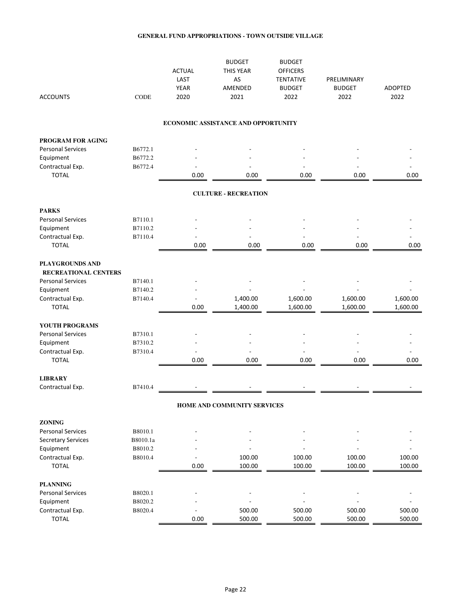| <b>ACCOUNTS</b>                         | <b>CODE</b> | <b>ACTUAL</b><br>LAST<br><b>YEAR</b><br>2020 | <b>BUDGET</b><br>THIS YEAR<br>AS<br><b>AMENDED</b><br>2021 | <b>BUDGET</b><br><b>OFFICERS</b><br><b>TENTATIVE</b><br><b>BUDGET</b><br>2022 | PRELIMINARY<br><b>BUDGET</b><br>2022 | <b>ADOPTED</b><br>2022 |
|-----------------------------------------|-------------|----------------------------------------------|------------------------------------------------------------|-------------------------------------------------------------------------------|--------------------------------------|------------------------|
|                                         |             |                                              | ECONOMIC ASSISTANCE AND OPPORTUNITY                        |                                                                               |                                      |                        |
| PROGRAM FOR AGING                       |             |                                              |                                                            |                                                                               |                                      |                        |
| <b>Personal Services</b>                | B6772.1     |                                              |                                                            |                                                                               |                                      |                        |
| Equipment                               | B6772.2     |                                              |                                                            |                                                                               |                                      |                        |
| Contractual Exp.<br><b>TOTAL</b>        | B6772.4     | 0.00                                         | 0.00                                                       | 0.00                                                                          | 0.00                                 | 0.00                   |
|                                         |             |                                              | <b>CULTURE - RECREATION</b>                                |                                                                               |                                      |                        |
| <b>PARKS</b>                            |             |                                              |                                                            |                                                                               |                                      |                        |
| <b>Personal Services</b>                | B7110.1     |                                              |                                                            |                                                                               |                                      |                        |
| Equipment                               | B7110.2     |                                              |                                                            |                                                                               |                                      |                        |
| Contractual Exp.                        | B7110.4     |                                              |                                                            |                                                                               |                                      |                        |
| <b>TOTAL</b>                            |             | 0.00                                         | 0.00                                                       | 0.00                                                                          | 0.00                                 | 0.00                   |
| PLAYGROUNDS AND<br>RECREATIONAL CENTERS |             |                                              |                                                            |                                                                               |                                      |                        |
| <b>Personal Services</b>                | B7140.1     |                                              |                                                            |                                                                               |                                      |                        |
| Equipment                               | B7140.2     |                                              |                                                            |                                                                               |                                      |                        |
| Contractual Exp.                        | B7140.4     |                                              | 1,400.00                                                   | 1,600.00                                                                      | 1,600.00                             | 1,600.00               |
| <b>TOTAL</b>                            |             | 0.00                                         | 1,400.00                                                   | 1,600.00                                                                      | 1,600.00                             | 1,600.00               |
| YOUTH PROGRAMS                          |             |                                              |                                                            |                                                                               |                                      |                        |
| <b>Personal Services</b>                | B7310.1     |                                              |                                                            |                                                                               |                                      |                        |
| Equipment                               | B7310.2     |                                              |                                                            |                                                                               |                                      |                        |
| Contractual Exp.                        | B7310.4     | L.                                           |                                                            |                                                                               |                                      |                        |
| <b>TOTAL</b>                            |             | 0.00                                         | 0.00                                                       | 0.00                                                                          | 0.00                                 | 0.00                   |
| <b>LIBRARY</b>                          |             |                                              |                                                            |                                                                               |                                      |                        |
| Contractual Exp.                        | B7410.4     |                                              |                                                            |                                                                               |                                      |                        |
|                                         |             |                                              | HOME AND COMMUNITY SERVICES                                |                                                                               |                                      |                        |
| ZONING                                  |             |                                              |                                                            |                                                                               |                                      |                        |
| <b>Personal Services</b>                | B8010.1     |                                              |                                                            |                                                                               |                                      |                        |
| <b>Secretary Services</b>               | B8010.1a    |                                              |                                                            |                                                                               |                                      |                        |
| Equipment                               | B8010.2     |                                              |                                                            |                                                                               |                                      |                        |
| Contractual Exp.                        | B8010.4     |                                              | 100.00                                                     | 100.00                                                                        | 100.00                               | 100.00                 |
| <b>TOTAL</b>                            |             | 0.00                                         | 100.00                                                     | 100.00                                                                        | 100.00                               | 100.00                 |
| <b>PLANNING</b>                         |             |                                              |                                                            |                                                                               |                                      |                        |
| <b>Personal Services</b>                | B8020.1     |                                              |                                                            |                                                                               |                                      |                        |
| Equipment                               | B8020.2     |                                              |                                                            |                                                                               |                                      |                        |
| Contractual Exp.                        | B8020.4     |                                              | 500.00                                                     | 500.00                                                                        | 500.00                               | 500.00                 |
| <b>TOTAL</b>                            |             | 0.00                                         | 500.00                                                     | 500.00                                                                        | 500.00                               | 500.00                 |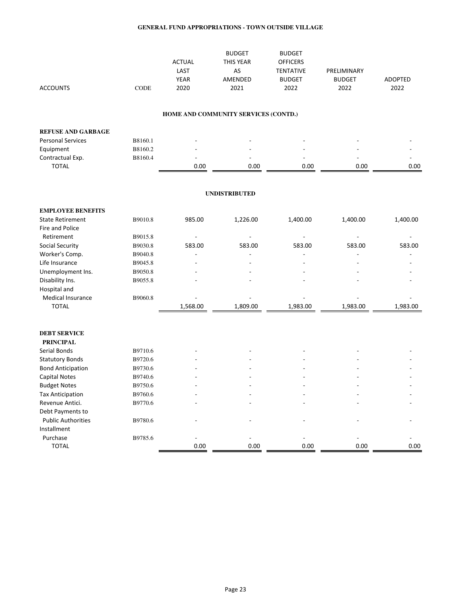| <b>ACCOUNTS</b>           | <b>CODE</b> | <b>ACTUAL</b><br>LAST<br><b>YEAR</b><br>2020 | <b>BUDGET</b><br>THIS YEAR<br>AS<br>AMENDED<br>2021 | <b>BUDGET</b><br><b>OFFICERS</b><br><b>TENTATIVE</b><br><b>BUDGET</b><br>2022 | PRELIMINARY<br><b>BUDGET</b><br>2022 | <b>ADOPTED</b><br>2022 |
|---------------------------|-------------|----------------------------------------------|-----------------------------------------------------|-------------------------------------------------------------------------------|--------------------------------------|------------------------|
|                           |             |                                              | HOME AND COMMUNITY SERVICES (CONTD.)                |                                                                               |                                      |                        |
| <b>REFUSE AND GARBAGE</b> |             |                                              |                                                     |                                                                               |                                      |                        |
| <b>Personal Services</b>  | B8160.1     |                                              |                                                     |                                                                               |                                      |                        |
| Equipment                 | B8160.2     |                                              |                                                     |                                                                               |                                      |                        |
| Contractual Exp.          | B8160.4     |                                              |                                                     |                                                                               |                                      |                        |
| <b>TOTAL</b>              |             | 0.00                                         | 0.00                                                | 0.00                                                                          | 0.00                                 | 0.00                   |
|                           |             |                                              | <b>UNDISTRIBUTED</b>                                |                                                                               |                                      |                        |
| <b>EMPLOYEE BENEFITS</b>  |             |                                              |                                                     |                                                                               |                                      |                        |
| <b>State Retirement</b>   | B9010.8     | 985.00                                       | 1,226.00                                            | 1,400.00                                                                      | 1,400.00                             | 1,400.00               |
| Fire and Police           |             |                                              |                                                     |                                                                               |                                      |                        |
| Retirement                | B9015.8     | $\overline{a}$                               |                                                     |                                                                               |                                      |                        |
| Social Security           | B9030.8     | 583.00                                       | 583.00                                              | 583.00                                                                        | 583.00                               | 583.00                 |
| Worker's Comp.            | B9040.8     |                                              | L,                                                  |                                                                               |                                      |                        |
| Life Insurance            | B9045.8     |                                              |                                                     |                                                                               |                                      |                        |
| Unemployment Ins.         | B9050.8     |                                              |                                                     |                                                                               |                                      |                        |
| Disability Ins.           | B9055.8     |                                              |                                                     |                                                                               |                                      |                        |
| Hospital and              |             |                                              |                                                     |                                                                               |                                      |                        |
| Medical Insurance         | B9060.8     |                                              |                                                     |                                                                               |                                      |                        |
| <b>TOTAL</b>              |             | 1,568.00                                     | 1,809.00                                            | 1,983.00                                                                      | 1,983.00                             | 1,983.00               |
| <b>DEBT SERVICE</b>       |             |                                              |                                                     |                                                                               |                                      |                        |
| <b>PRINCIPAL</b>          |             |                                              |                                                     |                                                                               |                                      |                        |
| Serial Bonds              | B9710.6     |                                              |                                                     |                                                                               |                                      |                        |
| <b>Statutory Bonds</b>    | B9720.6     |                                              |                                                     |                                                                               |                                      |                        |
| <b>Bond Anticipation</b>  | B9730.6     |                                              |                                                     |                                                                               |                                      |                        |
| <b>Capital Notes</b>      | B9740.6     |                                              |                                                     |                                                                               |                                      |                        |
| <b>Budget Notes</b>       | B9750.6     |                                              |                                                     |                                                                               |                                      |                        |
| <b>Tax Anticipation</b>   | B9760.6     |                                              |                                                     |                                                                               |                                      |                        |
| Revenue Antici.           | B9770.6     |                                              |                                                     |                                                                               |                                      |                        |
| Debt Payments to          |             |                                              |                                                     |                                                                               |                                      |                        |
| <b>Public Authorities</b> | B9780.6     |                                              |                                                     |                                                                               |                                      |                        |
| Installment               |             |                                              |                                                     |                                                                               |                                      |                        |

 Purchase B9785.6 - - - - - TOTAL 0.00 0.00 0.00 0.00 0.00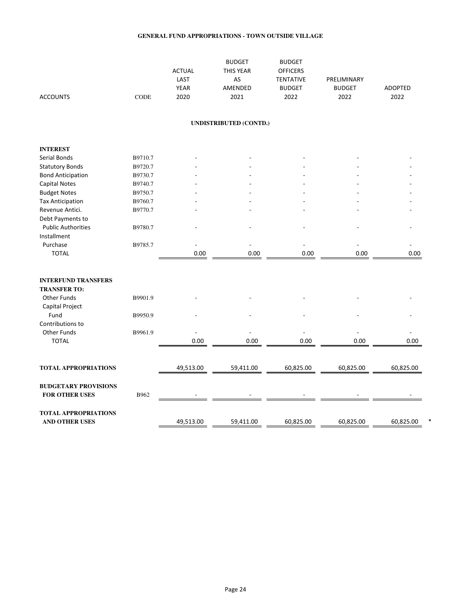| <b>ACCOUNTS</b>                                      | <b>CODE</b> | <b>ACTUAL</b><br>LAST<br><b>YEAR</b><br>2020 | <b>BUDGET</b><br>THIS YEAR<br>AS<br>AMENDED<br>2021 | <b>BUDGET</b><br><b>OFFICERS</b><br><b>TENTATIVE</b><br><b>BUDGET</b><br>2022 | PRELIMINARY<br><b>BUDGET</b><br>2022 | <b>ADOPTED</b><br>2022 |
|------------------------------------------------------|-------------|----------------------------------------------|-----------------------------------------------------|-------------------------------------------------------------------------------|--------------------------------------|------------------------|
|                                                      |             |                                              | <b>UNDISTRIBUTED (CONTD.)</b>                       |                                                                               |                                      |                        |
| <b>INTEREST</b>                                      |             |                                              |                                                     |                                                                               |                                      |                        |
| Serial Bonds                                         | B9710.7     |                                              |                                                     |                                                                               |                                      |                        |
| <b>Statutory Bonds</b>                               | B9720.7     |                                              |                                                     |                                                                               |                                      |                        |
| <b>Bond Anticipation</b>                             | B9730.7     |                                              |                                                     |                                                                               |                                      |                        |
| <b>Capital Notes</b>                                 | B9740.7     |                                              |                                                     |                                                                               |                                      |                        |
| <b>Budget Notes</b>                                  | B9750.7     |                                              |                                                     |                                                                               |                                      |                        |
| <b>Tax Anticipation</b>                              | B9760.7     |                                              |                                                     |                                                                               |                                      |                        |
| Revenue Antici.                                      | B9770.7     |                                              |                                                     |                                                                               |                                      |                        |
| Debt Payments to                                     |             |                                              |                                                     |                                                                               |                                      |                        |
| <b>Public Authorities</b>                            | B9780.7     |                                              |                                                     |                                                                               |                                      |                        |
| Installment                                          |             |                                              |                                                     |                                                                               |                                      |                        |
| Purchase                                             | B9785.7     |                                              |                                                     |                                                                               |                                      |                        |
| <b>TOTAL</b>                                         |             | 0.00                                         | 0.00                                                | 0.00                                                                          | 0.00                                 | 0.00                   |
|                                                      |             |                                              |                                                     |                                                                               |                                      |                        |
|                                                      |             |                                              |                                                     |                                                                               |                                      |                        |
| <b>INTERFUND TRANSFERS</b>                           |             |                                              |                                                     |                                                                               |                                      |                        |
| <b>TRANSFER TO:</b>                                  |             |                                              |                                                     |                                                                               |                                      |                        |
| <b>Other Funds</b>                                   | B9901.9     |                                              |                                                     |                                                                               |                                      |                        |
| Capital Project                                      |             |                                              |                                                     |                                                                               |                                      |                        |
| Fund                                                 | B9950.9     |                                              |                                                     |                                                                               |                                      |                        |
| Contributions to                                     |             |                                              |                                                     |                                                                               |                                      |                        |
| <b>Other Funds</b>                                   | B9961.9     |                                              |                                                     |                                                                               |                                      |                        |
| <b>TOTAL</b>                                         |             | 0.00                                         | 0.00                                                | 0.00                                                                          | 0.00                                 | 0.00                   |
|                                                      |             |                                              |                                                     |                                                                               |                                      |                        |
| <b>TOTAL APPROPRIATIONS</b>                          |             | 49,513.00                                    | 59,411.00                                           | 60,825.00                                                                     | 60,825.00                            | 60,825.00              |
| <b>BUDGETARY PROVISIONS</b><br><b>FOR OTHER USES</b> | B962        |                                              |                                                     |                                                                               |                                      |                        |
| <b>TOTAL APPROPRIATIONS</b><br><b>AND OTHER USES</b> |             | 49,513.00                                    | 59,411.00                                           | 60,825.00                                                                     | 60,825.00                            | 60,825.00              |
|                                                      |             |                                              |                                                     |                                                                               |                                      |                        |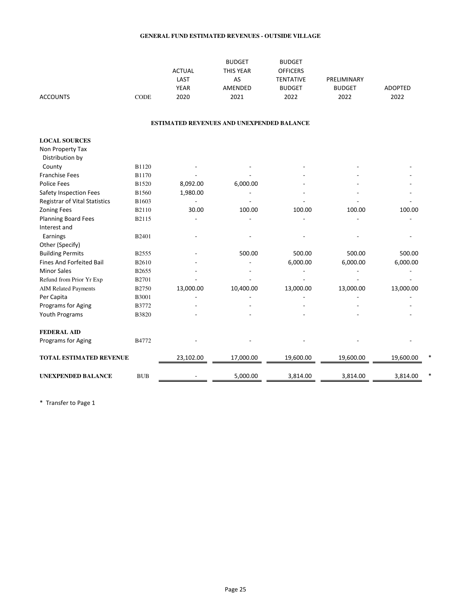#### **GENERAL FUND ESTIMATED REVENUES - OUTSIDE VILLAGE**

|                                      |              |               | <b>BUDGET</b>                             | <b>BUDGET</b>    |               |                |
|--------------------------------------|--------------|---------------|-------------------------------------------|------------------|---------------|----------------|
|                                      |              | <b>ACTUAL</b> | <b>THIS YEAR</b>                          | <b>OFFICERS</b>  |               |                |
|                                      |              | LAST          | AS                                        | <b>TENTATIVE</b> | PRELIMINARY   |                |
|                                      |              | <b>YEAR</b>   | AMENDED                                   | <b>BUDGET</b>    | <b>BUDGET</b> | <b>ADOPTED</b> |
| <b>ACCOUNTS</b>                      | <b>CODE</b>  | 2020          | 2021                                      | 2022             | 2022          | 2022           |
|                                      |              |               | ESTIMATED REVENUES AND UNEXPENDED BALANCE |                  |               |                |
| <b>LOCAL SOURCES</b>                 |              |               |                                           |                  |               |                |
| Non Property Tax                     |              |               |                                           |                  |               |                |
| Distribution by                      |              |               |                                           |                  |               |                |
| County                               | B1120        |               |                                           |                  |               |                |
| <b>Franchise Fees</b>                | <b>B1170</b> |               |                                           |                  |               |                |
| <b>Police Fees</b>                   | B1520        | 8,092.00      | 6,000.00                                  |                  |               |                |
| Safety Inspection Fees               | <b>B1560</b> | 1,980.00      |                                           |                  |               |                |
| <b>Registrar of Vital Statistics</b> | B1603        |               |                                           |                  |               |                |
| <b>Zoning Fees</b>                   | B2110        | 30.00         | 100.00                                    | 100.00           | 100.00        | 100.00         |
| Planning Board Fees                  | B2115        |               |                                           |                  |               |                |
| Interest and                         |              |               |                                           |                  |               |                |
| Earnings                             | B2401        |               |                                           |                  |               |                |
| Other (Specify)                      |              |               |                                           |                  |               |                |
| <b>Building Permits</b>              | <b>B2555</b> |               | 500.00                                    | 500.00           | 500.00        | 500.00         |
| <b>Fines And Forfeited Bail</b>      | B2610        |               |                                           | 6,000.00         | 6,000.00      | 6,000.00       |
| <b>Minor Sales</b>                   | B2655        |               |                                           |                  |               |                |
| Refund from Prior Yr Exp             | <b>B2701</b> |               |                                           |                  |               |                |
| <b>AIM Related Payments</b>          | B2750        | 13,000.00     | 10,400.00                                 | 13,000.00        | 13,000.00     | 13,000.00      |
| Per Capita                           | <b>B3001</b> |               |                                           |                  |               |                |
| Programs for Aging                   | B3772        |               |                                           |                  |               |                |
| Youth Programs                       | <b>B3820</b> |               |                                           |                  |               |                |
| <b>FEDERAL AID</b>                   |              |               |                                           |                  |               |                |
| Programs for Aging                   | B4772        |               |                                           |                  |               |                |
| <b>TOTAL ESTIMATED REVENUE</b>       |              | 23,102.00     | 17,000.00                                 | 19,600.00        | 19,600.00     | 19,600.00      |
| <b>UNEXPENDED BALANCE</b>            | <b>BUB</b>   |               | 5,000.00                                  | 3,814.00         | 3,814.00      | 3,814.00       |

\* Transfer to Page 1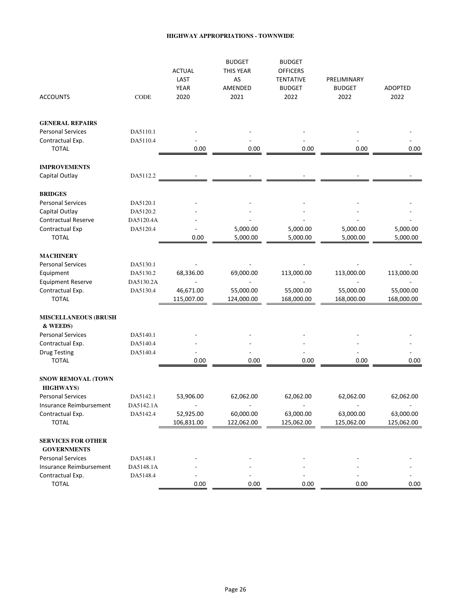#### **HIGHWAY APPROPRIATIONS - TOWNWIDE**

| <b>ACCOUNTS</b>                                 | CODE                  | <b>ACTUAL</b><br>LAST<br><b>YEAR</b><br>2020 | <b>BUDGET</b><br>THIS YEAR<br>AS<br>AMENDED<br>2021 | <b>BUDGET</b><br><b>OFFICERS</b><br><b>TENTATIVE</b><br><b>BUDGET</b><br>2022 | PRELIMINARY<br><b>BUDGET</b><br>2022 | <b>ADOPTED</b><br>2022  |
|-------------------------------------------------|-----------------------|----------------------------------------------|-----------------------------------------------------|-------------------------------------------------------------------------------|--------------------------------------|-------------------------|
| <b>GENERAL REPAIRS</b>                          |                       |                                              |                                                     |                                                                               |                                      |                         |
| <b>Personal Services</b>                        | DA5110.1              |                                              |                                                     |                                                                               |                                      |                         |
| Contractual Exp.<br><b>TOTAL</b>                | DA5110.4              | 0.00                                         | 0.00                                                | 0.00                                                                          | 0.00                                 | 0.00                    |
| <b>IMPROVEMENTS</b>                             |                       |                                              |                                                     |                                                                               |                                      |                         |
| Capital Outlay                                  | DA5112.2              |                                              |                                                     |                                                                               |                                      |                         |
| <b>BRIDGES</b>                                  |                       |                                              |                                                     |                                                                               |                                      |                         |
| <b>Personal Services</b>                        | DA5120.1              |                                              |                                                     |                                                                               |                                      |                         |
| Capital Outlay                                  | DA5120.2              |                                              |                                                     |                                                                               |                                      |                         |
| <b>Contractual Reserve</b><br>Contractual Exp   | DA5120.4A<br>DA5120.4 |                                              | 5,000.00                                            | 5,000.00                                                                      | 5,000.00                             | 5,000.00                |
| <b>TOTAL</b>                                    |                       | 0.00                                         | 5,000.00                                            | 5,000.00                                                                      | 5,000.00                             | 5,000.00                |
| <b>MACHINERY</b>                                |                       |                                              |                                                     |                                                                               |                                      |                         |
| <b>Personal Services</b>                        | DA5130.1              |                                              |                                                     |                                                                               |                                      |                         |
| Equipment                                       | DA5130.2              | 68,336.00                                    | 69,000.00                                           | 113,000.00                                                                    | 113,000.00                           | 113,000.00              |
| <b>Equipment Reserve</b>                        | DA5130.2A             |                                              |                                                     |                                                                               |                                      |                         |
| Contractual Exp.<br><b>TOTAL</b>                | DA5130.4              | 46,671.00<br>115,007.00                      | 55,000.00<br>124,000.00                             | 55,000.00<br>168,000.00                                                       | 55,000.00<br>168,000.00              | 55,000.00<br>168,000.00 |
| <b>MISCELLANEOUS (BRUSH</b><br>& WEEDS)         |                       |                                              |                                                     |                                                                               |                                      |                         |
| <b>Personal Services</b>                        | DA5140.1              |                                              |                                                     |                                                                               |                                      |                         |
| Contractual Exp.                                | DA5140.4              |                                              |                                                     |                                                                               |                                      |                         |
| <b>Drug Testing</b><br><b>TOTAL</b>             | DA5140.4              | 0.00                                         | 0.00                                                | 0.00                                                                          | 0.00                                 | 0.00                    |
| <b>SNOW REMOVAL (TOWN</b><br><b>HIGHWAYS</b> )  |                       |                                              |                                                     |                                                                               |                                      |                         |
| <b>Personal Services</b>                        | DA5142.1              | 53,906.00                                    | 62,062.00                                           | 62,062.00                                                                     | 62,062.00                            | 62,062.00               |
| Insurance Reimbursement                         | DA5142.1A             |                                              |                                                     |                                                                               |                                      |                         |
| Contractual Exp.                                | DA5142.4              | 52,925.00                                    | 60,000.00                                           | 63,000.00                                                                     | 63,000.00                            | 63,000.00               |
| <b>TOTAL</b>                                    |                       | 106,831.00                                   | 122,062.00                                          | 125,062.00                                                                    | 125,062.00                           | 125,062.00              |
| <b>SERVICES FOR OTHER</b><br><b>GOVERNMENTS</b> |                       |                                              |                                                     |                                                                               |                                      |                         |
| <b>Personal Services</b>                        | DA5148.1              |                                              |                                                     |                                                                               |                                      |                         |
| Insurance Reimbursement                         | DA5148.1A             |                                              |                                                     |                                                                               |                                      |                         |
| Contractual Exp.                                | DA5148.4              |                                              |                                                     |                                                                               |                                      |                         |
| <b>TOTAL</b>                                    |                       | 0.00                                         | 0.00                                                | 0.00                                                                          | 0.00                                 | 0.00                    |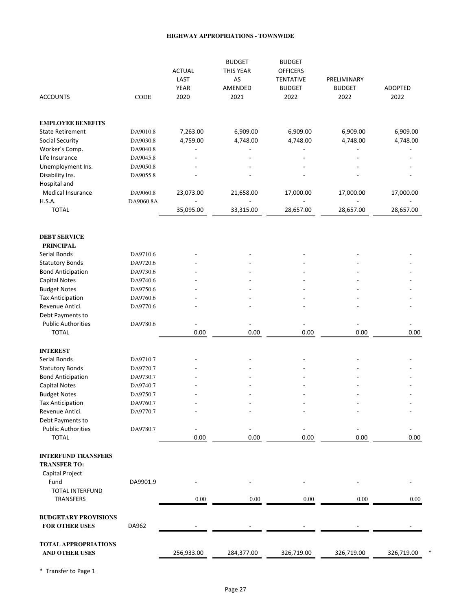#### **HIGHWAY APPROPRIATIONS - TOWNWIDE**

|                                     |           | <b>ACTUAL</b><br>LAST<br>YEAR | <b>BUDGET</b><br>THIS YEAR<br>AS<br>AMENDED | <b>BUDGET</b><br><b>OFFICERS</b><br><b>TENTATIVE</b><br><b>BUDGET</b> | PRELIMINARY<br><b>BUDGET</b> | <b>ADOPTED</b> |
|-------------------------------------|-----------|-------------------------------|---------------------------------------------|-----------------------------------------------------------------------|------------------------------|----------------|
| <b>ACCOUNTS</b>                     | CODE      | 2020                          | 2021                                        | 2022                                                                  | 2022                         | 2022           |
| <b>EMPLOYEE BENEFITS</b>            |           |                               |                                             |                                                                       |                              |                |
| <b>State Retirement</b>             | DA9010.8  | 7,263.00                      | 6,909.00                                    | 6,909.00                                                              | 6,909.00                     | 6,909.00       |
| Social Security                     | DA9030.8  | 4,759.00                      | 4,748.00                                    | 4,748.00                                                              | 4,748.00                     | 4,748.00       |
| Worker's Comp.                      | DA9040.8  |                               |                                             |                                                                       |                              |                |
| Life Insurance                      | DA9045.8  |                               |                                             |                                                                       |                              |                |
| Unemployment Ins.                   | DA9050.8  |                               |                                             |                                                                       |                              |                |
| Disability Ins.                     | DA9055.8  |                               |                                             |                                                                       |                              |                |
| Hospital and                        |           |                               |                                             |                                                                       |                              |                |
| Medical Insurance                   | DA9060.8  | 23,073.00                     | 21,658.00                                   | 17,000.00                                                             | 17,000.00                    | 17,000.00      |
| <b>H.S.A.</b>                       | DA9060.8A |                               |                                             |                                                                       |                              |                |
| <b>TOTAL</b>                        |           | 35,095.00                     | 33,315.00                                   | 28,657.00                                                             | 28,657.00                    | 28,657.00      |
|                                     |           |                               |                                             |                                                                       |                              |                |
| <b>DEBT SERVICE</b>                 |           |                               |                                             |                                                                       |                              |                |
| <b>PRINCIPAL</b>                    |           |                               |                                             |                                                                       |                              |                |
| Serial Bonds                        | DA9710.6  |                               |                                             |                                                                       |                              |                |
| <b>Statutory Bonds</b>              | DA9720.6  |                               |                                             |                                                                       |                              |                |
| <b>Bond Anticipation</b>            | DA9730.6  |                               |                                             |                                                                       |                              |                |
| <b>Capital Notes</b>                | DA9740.6  |                               |                                             |                                                                       |                              |                |
| <b>Budget Notes</b>                 | DA9750.6  |                               |                                             |                                                                       |                              |                |
| <b>Tax Anticipation</b>             | DA9760.6  |                               |                                             |                                                                       |                              |                |
| Revenue Antici.                     | DA9770.6  |                               |                                             |                                                                       |                              |                |
| Debt Payments to                    |           |                               |                                             |                                                                       |                              |                |
| <b>Public Authorities</b>           | DA9780.6  |                               |                                             |                                                                       |                              |                |
| <b>TOTAL</b>                        |           | 0.00                          | 0.00                                        | 0.00                                                                  | 0.00                         | 0.00           |
| <b>INTEREST</b>                     |           |                               |                                             |                                                                       |                              |                |
| Serial Bonds                        | DA9710.7  |                               |                                             |                                                                       |                              |                |
| <b>Statutory Bonds</b>              | DA9720.7  |                               |                                             |                                                                       |                              |                |
| <b>Bond Anticipation</b>            | DA9730.7  |                               |                                             |                                                                       |                              |                |
| <b>Capital Notes</b>                | DA9740.7  |                               |                                             |                                                                       |                              |                |
| <b>Budget Notes</b>                 | DA9750.7  |                               |                                             |                                                                       |                              |                |
| <b>Tax Anticipation</b>             | DA9760.7  |                               |                                             |                                                                       |                              |                |
| Revenue Antici.                     | DA9770.7  |                               |                                             |                                                                       |                              |                |
| Debt Payments to                    |           |                               |                                             |                                                                       |                              |                |
| <b>Public Authorities</b>           | DA9780.7  |                               |                                             |                                                                       |                              |                |
| <b>TOTAL</b>                        |           | 0.00                          | 0.00                                        | 0.00                                                                  | 0.00                         | 0.00           |
| <b>INTERFUND TRANSFERS</b>          |           |                               |                                             |                                                                       |                              |                |
| <b>TRANSFER TO:</b>                 |           |                               |                                             |                                                                       |                              |                |
| Capital Project                     |           |                               |                                             |                                                                       |                              |                |
| Fund                                | DA9901.9  |                               |                                             |                                                                       |                              |                |
| <b>TOTAL INTERFUND</b><br>TRANSFERS |           | $0.00\,$                      | 0.00                                        | 0.00                                                                  | 0.00                         | 0.00           |
|                                     |           |                               |                                             |                                                                       |                              |                |
| <b>BUDGETARY PROVISIONS</b>         |           |                               |                                             |                                                                       |                              |                |
| <b>FOR OTHER USES</b>               | DA962     |                               |                                             |                                                                       |                              |                |
|                                     |           |                               |                                             |                                                                       |                              |                |
| <b>TOTAL APPROPRIATIONS</b>         |           |                               |                                             |                                                                       |                              |                |
| AND OTHER USES                      |           | 256,933.00                    | 284,377.00                                  | 326,719.00                                                            | 326,719.00                   | 326,719.00     |

\* Transfer to Page 1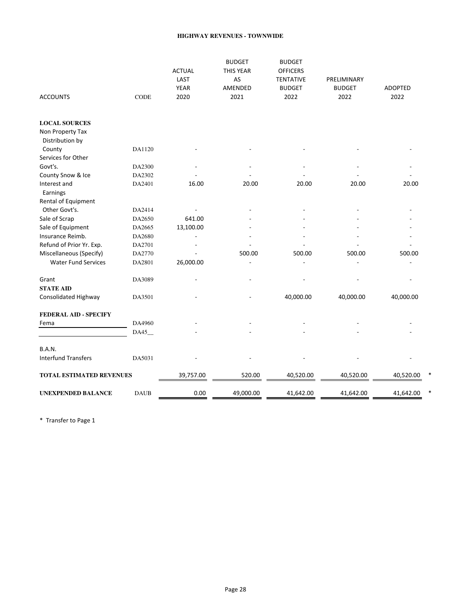#### **HIGHWAY REVENUES - TOWNWIDE**

| <b>ACCOUNTS</b>                     | CODE   | <b>ACTUAL</b><br>LAST<br><b>YEAR</b><br>2020 | <b>BUDGET</b><br>THIS YEAR<br>AS<br>AMENDED<br>2021 | <b>BUDGET</b><br><b>OFFICERS</b><br><b>TENTATIVE</b><br><b>BUDGET</b><br>2022 | PRELIMINARY<br><b>BUDGET</b><br>2022 | <b>ADOPTED</b><br>2022 |
|-------------------------------------|--------|----------------------------------------------|-----------------------------------------------------|-------------------------------------------------------------------------------|--------------------------------------|------------------------|
| <b>LOCAL SOURCES</b>                |        |                                              |                                                     |                                                                               |                                      |                        |
| Non Property Tax<br>Distribution by |        |                                              |                                                     |                                                                               |                                      |                        |
| County                              | DA1120 |                                              |                                                     |                                                                               |                                      |                        |
| Services for Other                  |        |                                              |                                                     |                                                                               |                                      |                        |
| Govt's.                             | DA2300 |                                              |                                                     |                                                                               |                                      |                        |
| County Snow & Ice                   | DA2302 |                                              |                                                     |                                                                               |                                      |                        |
| Interest and                        | DA2401 | 16.00                                        | 20.00                                               | 20.00                                                                         | 20.00                                | 20.00                  |
| Earnings                            |        |                                              |                                                     |                                                                               |                                      |                        |
| Rental of Equipment                 |        |                                              |                                                     |                                                                               |                                      |                        |
| Other Govt's.                       | DA2414 |                                              |                                                     |                                                                               |                                      |                        |
| Sale of Scrap                       | DA2650 | 641.00                                       |                                                     |                                                                               |                                      |                        |
| Sale of Equipment                   | DA2665 | 13,100.00                                    |                                                     |                                                                               |                                      |                        |
| Insurance Reimb.                    | DA2680 |                                              |                                                     |                                                                               |                                      |                        |
| Refund of Prior Yr. Exp.            | DA2701 |                                              |                                                     |                                                                               |                                      |                        |
| Miscellaneous (Specify)             | DA2770 |                                              | 500.00                                              | 500.00                                                                        | 500.00                               | 500.00                 |
| <b>Water Fund Services</b>          | DA2801 | 26,000.00                                    |                                                     |                                                                               |                                      |                        |
| Grant                               | DA3089 |                                              |                                                     |                                                                               |                                      |                        |
| <b>STATE AID</b>                    |        |                                              |                                                     |                                                                               |                                      |                        |
| Consolidated Highway                | DA3501 |                                              |                                                     | 40,000.00                                                                     | 40,000.00                            | 40,000.00              |
| <b>FEDERAL AID - SPECIFY</b>        |        |                                              |                                                     |                                                                               |                                      |                        |
| Fema                                | DA4960 |                                              |                                                     |                                                                               |                                      |                        |
|                                     | DA45_  |                                              |                                                     |                                                                               |                                      |                        |
| <b>B.A.N.</b>                       |        |                                              |                                                     |                                                                               |                                      |                        |
| <b>Interfund Transfers</b>          | DA5031 |                                              |                                                     |                                                                               |                                      |                        |
| TOTAL ESTIMATED REVENUES            |        | 39,757.00                                    | 520.00                                              | 40,520.00                                                                     | 40,520.00                            | 40,520.00              |
| <b>UNEXPENDED BALANCE</b>           |        |                                              |                                                     |                                                                               |                                      |                        |

\* Transfer to Page 1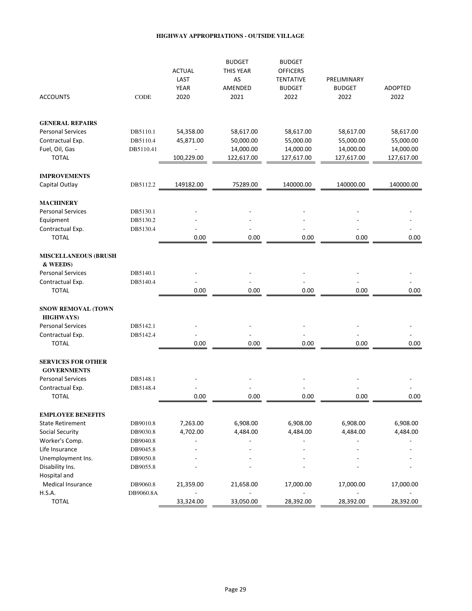#### **HIGHWAY APPROPRIATIONS - OUTSIDE VILLAGE**

| <b>ACCOUNTS</b>                                 | CODE      | <b>ACTUAL</b><br>LAST<br><b>YEAR</b><br>2020 | <b>BUDGET</b><br>THIS YEAR<br>AS<br>AMENDED<br>2021 | <b>BUDGET</b><br><b>OFFICERS</b><br><b>TENTATIVE</b><br><b>BUDGET</b><br>2022 | PRELIMINARY<br><b>BUDGET</b><br>2022 | <b>ADOPTED</b><br>2022 |
|-------------------------------------------------|-----------|----------------------------------------------|-----------------------------------------------------|-------------------------------------------------------------------------------|--------------------------------------|------------------------|
| <b>GENERAL REPAIRS</b>                          |           |                                              |                                                     |                                                                               |                                      |                        |
| <b>Personal Services</b>                        | DB5110.1  | 54,358.00                                    | 58,617.00                                           | 58,617.00                                                                     | 58,617.00                            | 58,617.00              |
| Contractual Exp.                                | DB5110.4  | 45,871.00                                    | 50,000.00                                           | 55,000.00                                                                     | 55,000.00                            | 55,000.00              |
| Fuel, Oil, Gas                                  | DB5110.41 |                                              | 14,000.00                                           | 14,000.00                                                                     | 14,000.00                            | 14,000.00              |
| <b>TOTAL</b>                                    |           | 100,229.00                                   | 122,617.00                                          | 127,617.00                                                                    | 127,617.00                           | 127,617.00             |
| <b>IMPROVEMENTS</b>                             |           |                                              |                                                     |                                                                               |                                      |                        |
| Capital Outlay                                  | DB5112.2  | 149182.00                                    | 75289.00                                            | 140000.00                                                                     | 140000.00                            | 140000.00              |
| <b>MACHINERY</b>                                |           |                                              |                                                     |                                                                               |                                      |                        |
| <b>Personal Services</b>                        | DB5130.1  |                                              |                                                     |                                                                               |                                      |                        |
| Equipment                                       | DB5130.2  |                                              |                                                     |                                                                               |                                      |                        |
| Contractual Exp.                                | DB5130.4  |                                              |                                                     |                                                                               |                                      |                        |
| <b>TOTAL</b>                                    |           | 0.00                                         | 0.00                                                | 0.00                                                                          | 0.00                                 | 0.00                   |
| <b>MISCELLANEOUS (BRUSH</b><br>& WEEDS)         |           |                                              |                                                     |                                                                               |                                      |                        |
| <b>Personal Services</b>                        | DB5140.1  |                                              |                                                     |                                                                               |                                      |                        |
| Contractual Exp.                                | DB5140.4  |                                              |                                                     |                                                                               |                                      |                        |
| <b>TOTAL</b>                                    |           | 0.00                                         | 0.00                                                | 0.00                                                                          | 0.00                                 | 0.00                   |
| <b>SNOW REMOVAL (TOWN</b><br><b>HIGHWAYS</b> )  |           |                                              |                                                     |                                                                               |                                      |                        |
| <b>Personal Services</b>                        | DB5142.1  |                                              |                                                     |                                                                               |                                      |                        |
| Contractual Exp.                                | DB5142.4  |                                              |                                                     |                                                                               |                                      |                        |
| <b>TOTAL</b>                                    |           | 0.00                                         | 0.00                                                | 0.00                                                                          | 0.00                                 | 0.00                   |
| <b>SERVICES FOR OTHER</b><br><b>GOVERNMENTS</b> |           |                                              |                                                     |                                                                               |                                      |                        |
| <b>Personal Services</b>                        | DB5148.1  |                                              |                                                     |                                                                               |                                      |                        |
| Contractual Exp.                                | DB5148.4  |                                              |                                                     |                                                                               |                                      |                        |
| <b>TOTAL</b>                                    |           | 0.00                                         | 0.00                                                | 0.00                                                                          | 0.00                                 | 0.00                   |
| <b>EMPLOYEE BENEFITS</b>                        |           |                                              |                                                     |                                                                               |                                      |                        |
| <b>State Retirement</b>                         | DB9010.8  | 7,263.00                                     | 6,908.00                                            | 6,908.00                                                                      | 6,908.00                             | 6,908.00               |
| Social Security                                 | DB9030.8  | 4,702.00                                     | 4,484.00                                            | 4,484.00                                                                      | 4,484.00                             | 4,484.00               |
| Worker's Comp.                                  | DB9040.8  |                                              |                                                     |                                                                               |                                      |                        |
| Life Insurance                                  | DB9045.8  |                                              |                                                     |                                                                               |                                      |                        |
| Unemployment Ins.                               | DB9050.8  |                                              |                                                     |                                                                               |                                      |                        |
| Disability Ins.                                 | DB9055.8  |                                              |                                                     |                                                                               |                                      |                        |
| Hospital and                                    |           |                                              |                                                     |                                                                               |                                      |                        |
| Medical Insurance                               | DB9060.8  | 21,359.00                                    | 21,658.00                                           | 17,000.00                                                                     | 17,000.00                            | 17,000.00              |
| <b>H.S.A.</b>                                   | DB9060.8A | ÷                                            | $\blacksquare$                                      | $\overline{\phantom{a}}$                                                      | $\overline{\phantom{a}}$             |                        |
| <b>TOTAL</b>                                    |           | 33,324.00                                    | 33,050.00                                           | 28,392.00                                                                     | 28,392.00                            | 28,392.00              |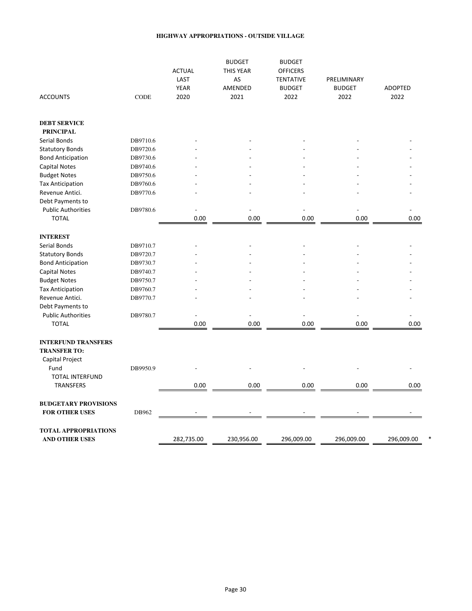#### **HIGHWAY APPROPRIATIONS - OUTSIDE VILLAGE**

|                                                      |          | <b>ACTUAL</b><br>LAST<br><b>YEAR</b> | <b>BUDGET</b><br>THIS YEAR<br>AS<br>AMENDED | <b>BUDGET</b><br><b>OFFICERS</b><br><b>TENTATIVE</b><br><b>BUDGET</b> | PRELIMINARY<br><b>BUDGET</b> | <b>ADOPTED</b> |
|------------------------------------------------------|----------|--------------------------------------|---------------------------------------------|-----------------------------------------------------------------------|------------------------------|----------------|
| <b>ACCOUNTS</b>                                      | CODE     | 2020                                 | 2021                                        | 2022                                                                  | 2022                         | 2022           |
| <b>DEBT SERVICE</b>                                  |          |                                      |                                             |                                                                       |                              |                |
| <b>PRINCIPAL</b>                                     |          |                                      |                                             |                                                                       |                              |                |
| Serial Bonds                                         | DB9710.6 |                                      |                                             |                                                                       |                              |                |
| <b>Statutory Bonds</b>                               | DB9720.6 |                                      |                                             |                                                                       |                              |                |
| <b>Bond Anticipation</b>                             | DB9730.6 |                                      |                                             |                                                                       |                              |                |
| <b>Capital Notes</b>                                 | DB9740.6 |                                      |                                             |                                                                       |                              |                |
| <b>Budget Notes</b>                                  | DB9750.6 |                                      |                                             |                                                                       |                              |                |
| <b>Tax Anticipation</b>                              | DB9760.6 |                                      |                                             |                                                                       |                              |                |
| Revenue Antici.                                      | DB9770.6 |                                      |                                             |                                                                       |                              |                |
| Debt Payments to                                     |          |                                      |                                             |                                                                       |                              |                |
| <b>Public Authorities</b>                            | DB9780.6 |                                      |                                             |                                                                       |                              |                |
| <b>TOTAL</b>                                         |          | 0.00                                 | 0.00                                        | 0.00                                                                  | 0.00                         | 0.00           |
| <b>INTEREST</b>                                      |          |                                      |                                             |                                                                       |                              |                |
| Serial Bonds                                         | DB9710.7 |                                      |                                             |                                                                       |                              |                |
| <b>Statutory Bonds</b>                               | DB9720.7 |                                      |                                             |                                                                       |                              |                |
| <b>Bond Anticipation</b>                             | DB9730.7 |                                      |                                             |                                                                       |                              |                |
| <b>Capital Notes</b>                                 | DB9740.7 |                                      |                                             |                                                                       |                              |                |
| <b>Budget Notes</b>                                  | DB9750.7 |                                      |                                             |                                                                       |                              |                |
| <b>Tax Anticipation</b>                              | DB9760.7 |                                      |                                             |                                                                       |                              |                |
| Revenue Antici.                                      | DB9770.7 |                                      |                                             |                                                                       |                              |                |
| Debt Payments to                                     |          |                                      |                                             |                                                                       |                              |                |
| <b>Public Authorities</b>                            | DB9780.7 |                                      |                                             |                                                                       |                              |                |
| <b>TOTAL</b>                                         |          | 0.00                                 | 0.00                                        | 0.00                                                                  | 0.00                         | 0.00           |
|                                                      |          |                                      |                                             |                                                                       |                              |                |
| <b>INTERFUND TRANSFERS</b>                           |          |                                      |                                             |                                                                       |                              |                |
| <b>TRANSFER TO:</b>                                  |          |                                      |                                             |                                                                       |                              |                |
| Capital Project                                      |          |                                      |                                             |                                                                       |                              |                |
| Fund                                                 | DB9950.9 |                                      |                                             |                                                                       |                              |                |
| <b>TOTAL INTERFUND</b>                               |          |                                      |                                             |                                                                       |                              |                |
| <b>TRANSFERS</b>                                     |          | 0.00                                 | 0.00                                        | 0.00                                                                  | 0.00                         | 0.00           |
|                                                      |          |                                      |                                             |                                                                       |                              |                |
| <b>BUDGETARY PROVISIONS</b><br><b>FOR OTHER USES</b> | DB962    |                                      |                                             |                                                                       |                              |                |
|                                                      |          |                                      |                                             |                                                                       |                              |                |
| <b>TOTAL APPROPRIATIONS</b>                          |          |                                      |                                             |                                                                       |                              |                |
| <b>AND OTHER USES</b>                                |          | 282,735.00                           | 230,956.00                                  | 296,009.00                                                            | 296,009.00                   | 296,009.00     |
|                                                      |          |                                      |                                             |                                                                       |                              |                |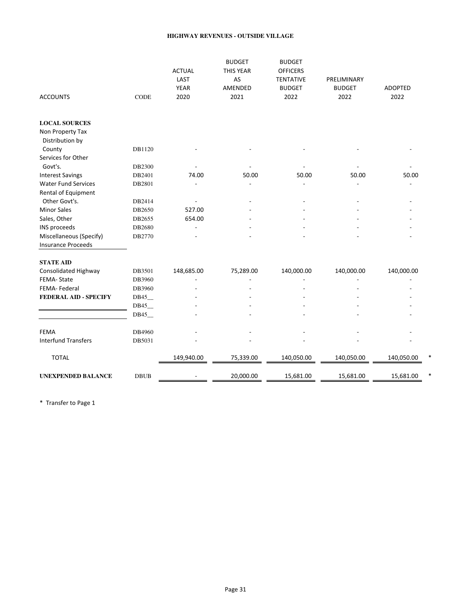#### **HIGHWAY REVENUES - OUTSIDE VILLAGE**

| <b>ACCOUNTS</b>              | CODE        | <b>ACTUAL</b><br>LAST<br><b>YEAR</b><br>2020 | <b>BUDGET</b><br>THIS YEAR<br>AS<br>AMENDED<br>2021 | <b>BUDGET</b><br><b>OFFICERS</b><br><b>TENTATIVE</b><br><b>BUDGET</b><br>2022 | PRELIMINARY<br><b>BUDGET</b><br>2022 | <b>ADOPTED</b><br>2022 |
|------------------------------|-------------|----------------------------------------------|-----------------------------------------------------|-------------------------------------------------------------------------------|--------------------------------------|------------------------|
| <b>LOCAL SOURCES</b>         |             |                                              |                                                     |                                                                               |                                      |                        |
| Non Property Tax             |             |                                              |                                                     |                                                                               |                                      |                        |
| Distribution by              |             |                                              |                                                     |                                                                               |                                      |                        |
| County                       | DB1120      |                                              |                                                     |                                                                               |                                      |                        |
| Services for Other           |             |                                              |                                                     |                                                                               |                                      |                        |
| Govt's.                      | DB2300      |                                              |                                                     |                                                                               |                                      |                        |
| <b>Interest Savings</b>      | DB2401      | 74.00                                        | 50.00                                               | 50.00                                                                         | 50.00                                | 50.00                  |
| <b>Water Fund Services</b>   | DB2801      |                                              |                                                     |                                                                               |                                      |                        |
| Rental of Equipment          |             |                                              |                                                     |                                                                               |                                      |                        |
| Other Govt's.                | DB2414      |                                              |                                                     |                                                                               |                                      |                        |
| <b>Minor Sales</b>           | DB2650      | 527.00                                       |                                                     |                                                                               |                                      |                        |
| Sales, Other                 | DB2655      | 654.00                                       |                                                     |                                                                               |                                      |                        |
| INS proceeds                 | DB2680      |                                              |                                                     |                                                                               |                                      |                        |
| Miscellaneous (Specify)      | DB2770      |                                              |                                                     |                                                                               |                                      |                        |
| <b>Insurance Proceeds</b>    |             |                                              |                                                     |                                                                               |                                      |                        |
| <b>STATE AID</b>             |             |                                              |                                                     |                                                                               |                                      |                        |
| Consolidated Highway         | DB3501      | 148,685.00                                   | 75,289.00                                           | 140,000.00                                                                    | 140,000.00                           | 140,000.00             |
| FEMA-State                   | DB3960      |                                              |                                                     |                                                                               |                                      |                        |
| FEMA-Federal                 | DB3960      |                                              |                                                     |                                                                               |                                      |                        |
| <b>FEDERAL AID - SPECIFY</b> | DB45        |                                              |                                                     |                                                                               |                                      |                        |
|                              | DB45        |                                              |                                                     |                                                                               |                                      |                        |
|                              | DB45        |                                              |                                                     |                                                                               |                                      |                        |
| <b>FEMA</b>                  | DB4960      |                                              |                                                     |                                                                               |                                      |                        |
| <b>Interfund Transfers</b>   | DB5031      |                                              |                                                     |                                                                               |                                      |                        |
| <b>TOTAL</b>                 |             | 149,940.00                                   | 75,339.00                                           | 140,050.00                                                                    | 140,050.00                           | 140,050.00             |
| <b>UNEXPENDED BALANCE</b>    | <b>DBUB</b> |                                              | 20,000.00                                           | 15,681.00                                                                     | 15,681.00                            | 15,681.00              |

\* Transfer to Page 1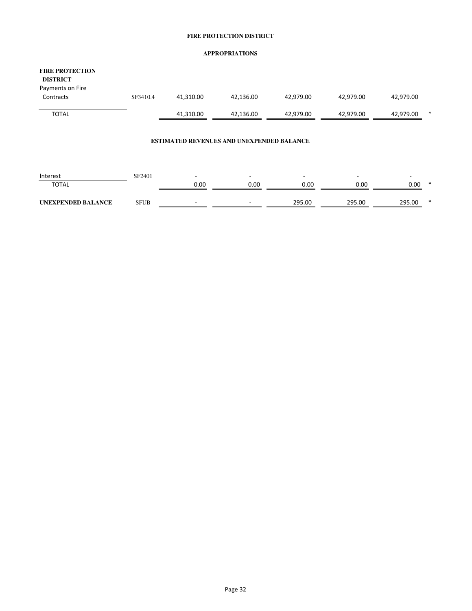#### **FIRE PROTECTION DISTRICT**

#### **APPROPRIATIONS**

| <b>FIRE PROTECTION</b><br><b>DISTRICT</b><br>Payments on Fire |          |           |           |           |           |                |
|---------------------------------------------------------------|----------|-----------|-----------|-----------|-----------|----------------|
| Contracts                                                     | SF3410.4 | 41,310.00 | 42,136.00 | 42.979.00 | 42.979.00 | 42,979.00      |
| <b>TOTAL</b>                                                  |          | 41,310.00 | 42,136.00 | 42,979.00 | 42,979.00 | *<br>42,979.00 |

#### **ESTIMATED REVENUES AND UNEXPENDED BALANCE**

| Interest           | SF2401 |      | $\overline{\phantom{0}}$ |        |        |        |        |
|--------------------|--------|------|--------------------------|--------|--------|--------|--------|
| <b>TOTAL</b>       |        | 0.00 | 0.00                     | 0.00   | 0.00   | 0.00   | ∗      |
|                    |        |      |                          |        |        |        |        |
| UNEXPENDED BALANCE | SFUB   |      | $\overline{\phantom{a}}$ | 295.00 | 295.00 | 295.00 | $\ast$ |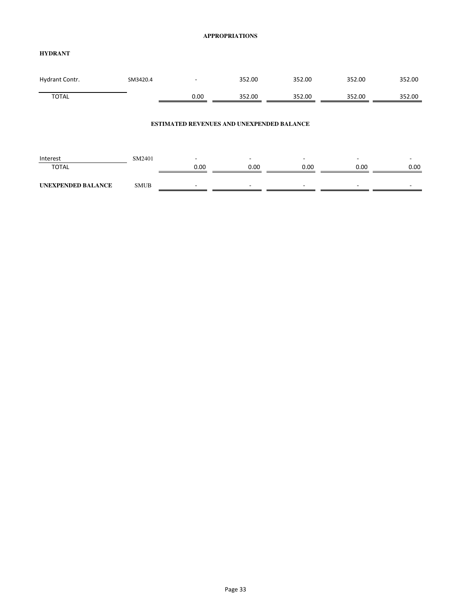#### **APPROPRIATIONS**

#### **HYDRANT**

| Hydrant Contr. | SM3420.4 | $\overline{\phantom{0}}$ | 352.00 | 352.00 | 352.00 | 352.00 |
|----------------|----------|--------------------------|--------|--------|--------|--------|
| <b>TOTAL</b>   |          | 0.00                     | 352.00 | 352.00 | 352.00 | 352.00 |

#### **ESTIMATED REVENUES AND UNEXPENDED BALANCE**

| Interest                  | SM2401 |      |      |      | $\sim$ | -    |
|---------------------------|--------|------|------|------|--------|------|
| <b>TOTAL</b>              |        | 0.00 | 0.00 | 0.00 | 0.00   | 0.00 |
|                           |        |      |      |      |        |      |
| <b>UNEXPENDED BALANCE</b> | SMUB   |      |      | -    | ۰      | -    |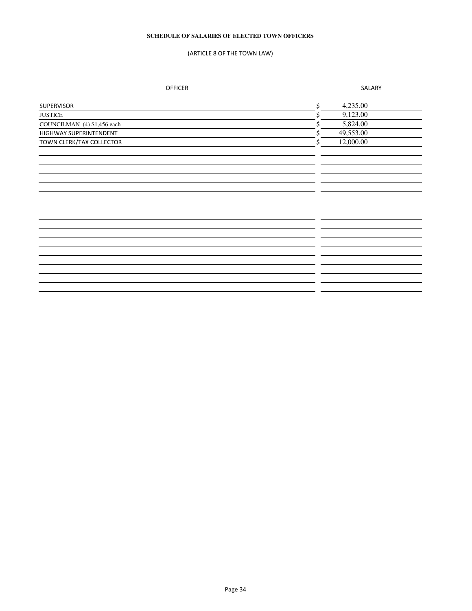#### **SCHEDULE OF SALARIES OF ELECTED TOWN OFFICERS**

#### (ARTICLE 8 OF THE TOWN LAW)

OFFICER SALARY

| SUPERVISOR                  | \$ | 4,235.00  |  |
|-----------------------------|----|-----------|--|
| <b>JUSTICE</b>              | Ś  | 9,123.00  |  |
| COUNCILMAN (4) \$1,456 each | Ś  | 5,824.00  |  |
| HIGHWAY SUPERINTENDENT      | Ś  | 49,553.00 |  |
| TOWN CLERK/TAX COLLECTOR    | Ś. | 12,000.00 |  |
|                             |    |           |  |
|                             |    |           |  |
|                             |    |           |  |
|                             |    |           |  |
|                             |    |           |  |
|                             |    |           |  |
|                             |    |           |  |
|                             |    |           |  |
|                             |    |           |  |
|                             |    |           |  |
|                             |    |           |  |
|                             |    |           |  |
|                             |    |           |  |
|                             |    |           |  |
|                             |    |           |  |
|                             |    |           |  |
|                             |    |           |  |